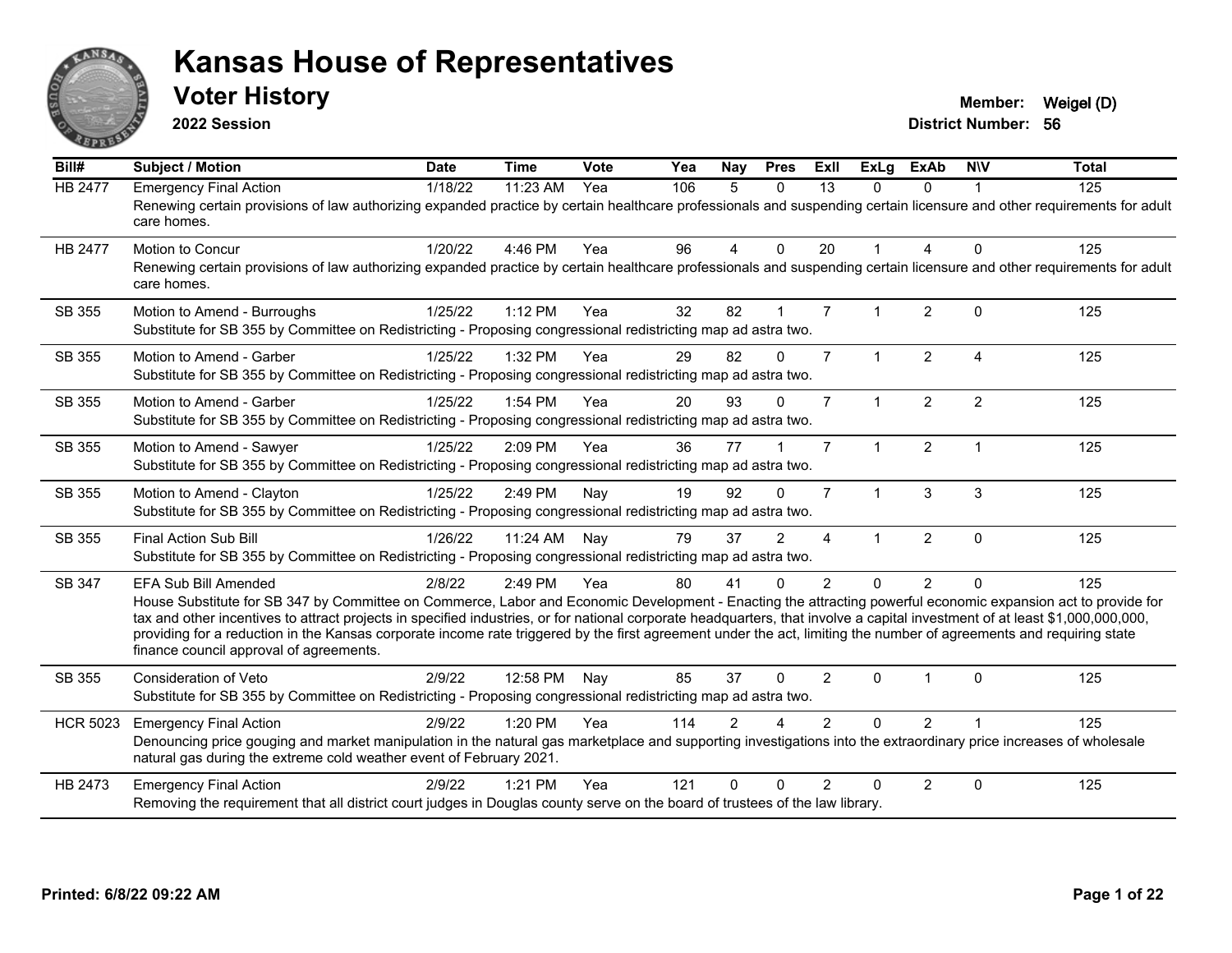

**2022 Session**

**Voter History Member:** Weigel (D)

**District Number: 56**

| Bill#           | <b>Subject / Motion</b>                                                                                                                                                                                                                                                                                                                                                                                                                                                                                                                                                                            | <b>Date</b> | <b>Time</b> | <b>Vote</b> | Yea | <b>Nay</b> | <b>Pres</b>  | ExIl           | <b>ExLg</b>          | <b>ExAb</b>    | <b>NIV</b>     | <b>Total</b> |
|-----------------|----------------------------------------------------------------------------------------------------------------------------------------------------------------------------------------------------------------------------------------------------------------------------------------------------------------------------------------------------------------------------------------------------------------------------------------------------------------------------------------------------------------------------------------------------------------------------------------------------|-------------|-------------|-------------|-----|------------|--------------|----------------|----------------------|----------------|----------------|--------------|
| <b>HB 2477</b>  | <b>Emergency Final Action</b><br>Renewing certain provisions of law authorizing expanded practice by certain healthcare professionals and suspending certain licensure and other requirements for adult<br>care homes.                                                                                                                                                                                                                                                                                                                                                                             | 1/18/22     | 11:23 AM    | Yea         | 106 | 5          | $\Omega$     | 13             | $\Omega$             | $\Omega$       |                | 125          |
| <b>HB 2477</b>  | <b>Motion to Concur</b><br>Renewing certain provisions of law authorizing expanded practice by certain healthcare professionals and suspending certain licensure and other requirements for adult<br>care homes.                                                                                                                                                                                                                                                                                                                                                                                   | 1/20/22     | 4:46 PM     | Yea         | 96  | 4          | $\mathbf{0}$ | 20             | $\mathbf{1}$         | 4              | $\Omega$       | 125          |
| SB 355          | Motion to Amend - Burroughs<br>Substitute for SB 355 by Committee on Redistricting - Proposing congressional redistricting map ad astra two.                                                                                                                                                                                                                                                                                                                                                                                                                                                       | 1/25/22     | 1:12 PM     | Yea         | 32  | 82         |              | $\overline{7}$ | $\mathbf{1}$         | $\overline{2}$ | $\Omega$       | 125          |
| SB 355          | Motion to Amend - Garber<br>Substitute for SB 355 by Committee on Redistricting - Proposing congressional redistricting map ad astra two.                                                                                                                                                                                                                                                                                                                                                                                                                                                          | 1/25/22     | 1:32 PM     | Yea         | 29  | 82         | $\Omega$     | $\overline{7}$ | $\mathbf{1}$         | $\overline{2}$ | $\overline{A}$ | 125          |
| SB 355          | Motion to Amend - Garber<br>Substitute for SB 355 by Committee on Redistricting - Proposing congressional redistricting map ad astra two.                                                                                                                                                                                                                                                                                                                                                                                                                                                          | 1/25/22     | 1:54 PM     | Yea         | 20  | 93         | $\Omega$     | $\overline{7}$ | $\mathbf{1}$         | $\overline{c}$ | $\overline{2}$ | 125          |
| SB 355          | Motion to Amend - Sawyer<br>Substitute for SB 355 by Committee on Redistricting - Proposing congressional redistricting map ad astra two.                                                                                                                                                                                                                                                                                                                                                                                                                                                          | 1/25/22     | 2:09 PM     | Yea         | 36  | 77         |              | $\overline{7}$ | $\blacktriangleleft$ | $\overline{2}$ | $\overline{1}$ | 125          |
| SB 355          | Motion to Amend - Clayton<br>Substitute for SB 355 by Committee on Redistricting - Proposing congressional redistricting map ad astra two.                                                                                                                                                                                                                                                                                                                                                                                                                                                         | 1/25/22     | 2:49 PM     | Nay         | 19  | 92         | $\mathbf{0}$ | $\overline{7}$ | $\mathbf 1$          | 3              | 3              | 125          |
| SB 355          | <b>Final Action Sub Bill</b><br>Substitute for SB 355 by Committee on Redistricting - Proposing congressional redistricting map ad astra two.                                                                                                                                                                                                                                                                                                                                                                                                                                                      | 1/26/22     | 11:24 AM    | Nav         | 79  | 37         | 2            | $\overline{4}$ | $\mathbf{1}$         | $\overline{2}$ | $\Omega$       | 125          |
| SB 347          | <b>EFA Sub Bill Amended</b><br>House Substitute for SB 347 by Committee on Commerce, Labor and Economic Development - Enacting the attracting powerful economic expansion act to provide for<br>tax and other incentives to attract projects in specified industries, or for national corporate headquarters, that involve a capital investment of at least \$1,000,000,000,000,<br>providing for a reduction in the Kansas corporate income rate triggered by the first agreement under the act, limiting the number of agreements and requiring state<br>finance council approval of agreements. | 2/8/22      | 2:49 PM     | Yea         | 80  | 41         | $\mathbf{0}$ | $\overline{2}$ | $\Omega$             | $\overline{2}$ | $\Omega$       | 125          |
| SB 355          | <b>Consideration of Veto</b><br>Substitute for SB 355 by Committee on Redistricting - Proposing congressional redistricting map ad astra two.                                                                                                                                                                                                                                                                                                                                                                                                                                                      | 2/9/22      | 12:58 PM    | Nav         | 85  | 37         | $\Omega$     | $\overline{2}$ | 0                    |                | $\Omega$       | 125          |
| <b>HCR 5023</b> | <b>Emergency Final Action</b><br>Denouncing price gouging and market manipulation in the natural gas marketplace and supporting investigations into the extraordinary price increases of wholesale<br>natural gas during the extreme cold weather event of February 2021.                                                                                                                                                                                                                                                                                                                          | 2/9/22      | 1:20 PM     | Yea         | 114 | 2          | $\Lambda$    | $\mathcal{P}$  | $\Omega$             | $\overline{2}$ |                | 125          |
| HB 2473         | <b>Emergency Final Action</b><br>Removing the requirement that all district court judges in Douglas county serve on the board of trustees of the law library.                                                                                                                                                                                                                                                                                                                                                                                                                                      | 2/9/22      | 1:21 PM     | Yea         | 121 | $\Omega$   | $\Omega$     | $\mathcal{P}$  | $\Omega$             | $\overline{2}$ | $\Omega$       | 125          |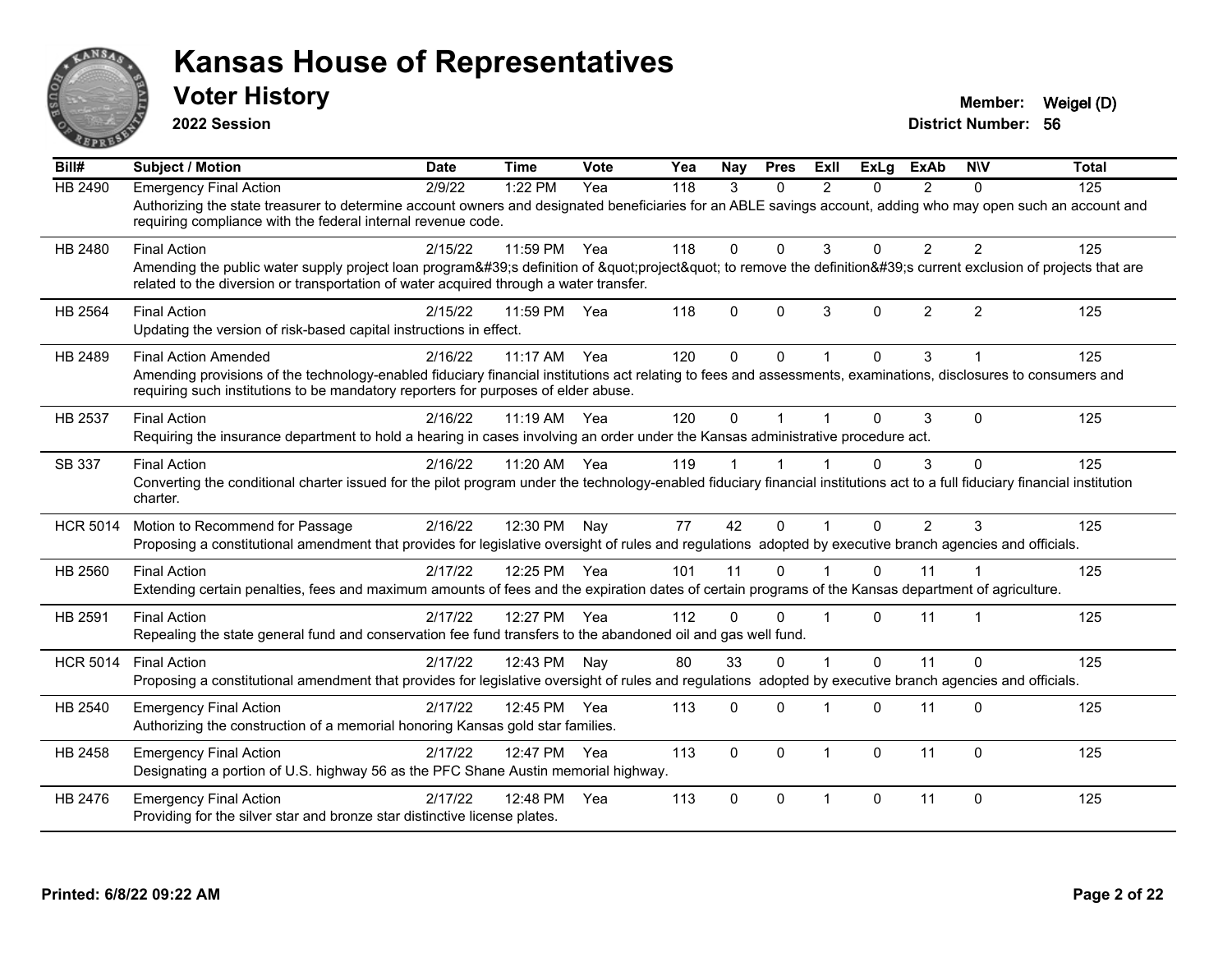

**2022 Session**

| Bill#           | <b>Subject / Motion</b>                                                                                                                                                                                                                               | <b>Date</b> | <b>Time</b>  | Vote | Yea | Nay          | <b>Pres</b> | ExII           | <b>ExLg</b>  | <b>ExAb</b>    | <b>NIV</b>     | <b>Total</b> |
|-----------------|-------------------------------------------------------------------------------------------------------------------------------------------------------------------------------------------------------------------------------------------------------|-------------|--------------|------|-----|--------------|-------------|----------------|--------------|----------------|----------------|--------------|
| <b>HB 2490</b>  | <b>Emergency Final Action</b>                                                                                                                                                                                                                         | 2/9/22      | 1:22 PM      | Yea  | 118 | 3            | $\Omega$    | 2              | $\Omega$     | 2              | $\Omega$       | 125          |
|                 | Authorizing the state treasurer to determine account owners and designated beneficiaries for an ABLE savings account, adding who may open such an account and<br>requiring compliance with the federal internal revenue code.                         |             |              |      |     |              |             |                |              |                |                |              |
| HB 2480         | <b>Final Action</b>                                                                                                                                                                                                                                   | 2/15/22     | 11:59 PM     | Yea  | 118 | $\Omega$     | $\Omega$    | 3              | $\Omega$     | $\overline{2}$ | $\overline{2}$ | 125          |
|                 | Amending the public water supply project loan program's definition of "project" to remove the definition's current exclusion of projects that are<br>related to the diversion or transportation of water acquired through a water transfer.           |             |              |      |     |              |             |                |              |                |                |              |
| HB 2564         | <b>Final Action</b><br>Updating the version of risk-based capital instructions in effect.                                                                                                                                                             | 2/15/22     | 11:59 PM     | Yea  | 118 | $\Omega$     | $\Omega$    | 3              | $\Omega$     | 2              | 2              | 125          |
| HB 2489         | <b>Final Action Amended</b>                                                                                                                                                                                                                           | 2/16/22     | $11:17$ AM   | Yea  | 120 | 0            | $\Omega$    |                | $\Omega$     | $\mathbf{3}$   |                | 125          |
|                 | Amending provisions of the technology-enabled fiduciary financial institutions act relating to fees and assessments, examinations, disclosures to consumers and<br>requiring such institutions to be mandatory reporters for purposes of elder abuse. |             |              |      |     |              |             |                |              |                |                |              |
| HB 2537         | <b>Final Action</b>                                                                                                                                                                                                                                   | 2/16/22     | 11:19 AM Yea |      | 120 | $\Omega$     |             |                | $\Omega$     | 3              | $\Omega$       | 125          |
|                 | Requiring the insurance department to hold a hearing in cases involving an order under the Kansas administrative procedure act.                                                                                                                       |             |              |      |     |              |             |                |              |                |                |              |
| SB 337          | <b>Final Action</b>                                                                                                                                                                                                                                   | 2/16/22     | 11:20 AM     | Yea  | 119 |              |             |                | 0            | 3              | $\Omega$       | 125          |
|                 | Converting the conditional charter issued for the pilot program under the technology-enabled fiduciary financial institutions act to a full fiduciary financial institution<br>charter.                                                               |             |              |      |     |              |             |                |              |                |                |              |
| <b>HCR 5014</b> | Motion to Recommend for Passage                                                                                                                                                                                                                       | 2/16/22     | 12:30 PM     | Nay  | 77  | 42           | $\Omega$    |                | $\Omega$     | 2              | 3              | 125          |
|                 | Proposing a constitutional amendment that provides for legislative oversight of rules and regulations adopted by executive branch agencies and officials.                                                                                             |             |              |      |     |              |             |                |              |                |                |              |
| HB 2560         | <b>Final Action</b>                                                                                                                                                                                                                                   | 2/17/22     | 12:25 PM     | Yea  | 101 | 11           | $\Omega$    |                | $\Omega$     | 11             |                | 125          |
|                 | Extending certain penalties, fees and maximum amounts of fees and the expiration dates of certain programs of the Kansas department of agriculture.                                                                                                   |             |              |      |     |              |             |                |              |                |                |              |
| HB 2591         | <b>Final Action</b>                                                                                                                                                                                                                                   | 2/17/22     | 12:27 PM     | Yea  | 112 | $\Omega$     | $\Omega$    | $\overline{1}$ | $\Omega$     | 11             | 1              | 125          |
|                 | Repealing the state general fund and conservation fee fund transfers to the abandoned oil and gas well fund.                                                                                                                                          |             |              |      |     |              |             |                |              |                |                |              |
| <b>HCR 5014</b> | <b>Final Action</b>                                                                                                                                                                                                                                   | 2/17/22     | 12:43 PM     | Nay  | 80  | 33           | $\Omega$    | $\overline{1}$ | $\Omega$     | 11             | $\Omega$       | 125          |
|                 | Proposing a constitutional amendment that provides for legislative oversight of rules and regulations adopted by executive branch agencies and officials.                                                                                             |             |              |      |     |              |             |                |              |                |                |              |
| HB 2540         | <b>Emergency Final Action</b>                                                                                                                                                                                                                         | 2/17/22     | 12:45 PM     | Yea  | 113 | $\Omega$     | $\Omega$    | -1             | $\Omega$     | 11             | $\Omega$       | 125          |
|                 | Authorizing the construction of a memorial honoring Kansas gold star families.                                                                                                                                                                        |             |              |      |     |              |             |                |              |                |                |              |
| HB 2458         | <b>Emergency Final Action</b>                                                                                                                                                                                                                         | 2/17/22     | 12:47 PM     | Yea  | 113 | $\mathbf{0}$ | $\Omega$    | $\overline{1}$ | $\mathbf{0}$ | 11             | $\Omega$       | 125          |
|                 | Designating a portion of U.S. highway 56 as the PFC Shane Austin memorial highway.                                                                                                                                                                    |             |              |      |     |              |             |                |              |                |                |              |
| HB 2476         | <b>Emergency Final Action</b>                                                                                                                                                                                                                         | 2/17/22     | 12:48 PM     | Yea  | 113 | $\Omega$     | $\Omega$    | $\overline{1}$ | $\mathbf{0}$ | 11             | $\mathbf{0}$   | 125          |
|                 | Providing for the silver star and bronze star distinctive license plates.                                                                                                                                                                             |             |              |      |     |              |             |                |              |                |                |              |
|                 |                                                                                                                                                                                                                                                       |             |              |      |     |              |             |                |              |                |                |              |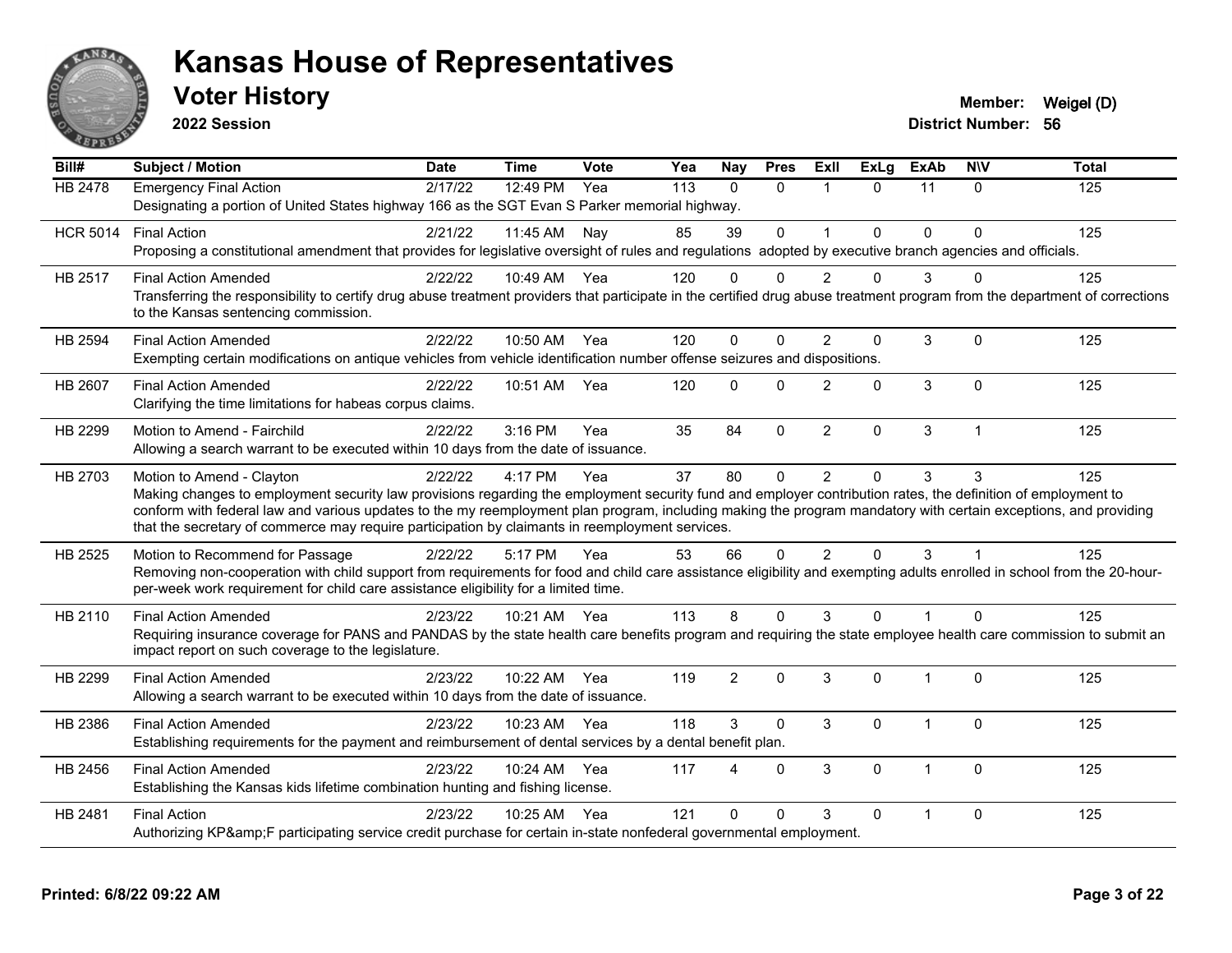

**2022 Session**

| Bill#           | <b>Subject / Motion</b>                                                                                                                                                     | <b>Date</b> | <b>Time</b>  | Vote         | Yea | Nay            | <b>Pres</b>  | ExII           | <b>ExLg</b> | <b>ExAb</b>    | <b>NIV</b>     | <b>Total</b> |
|-----------------|-----------------------------------------------------------------------------------------------------------------------------------------------------------------------------|-------------|--------------|--------------|-----|----------------|--------------|----------------|-------------|----------------|----------------|--------------|
| <b>HB 2478</b>  | <b>Emergency Final Action</b>                                                                                                                                               | 2/17/22     | 12:49 PM     | $\bar{Y}$ ea | 113 | $\Omega$       | $\Omega$     |                | $\Omega$    | 11             | $\Omega$       | 125          |
|                 | Designating a portion of United States highway 166 as the SGT Evan S Parker memorial highway.                                                                               |             |              |              |     |                |              |                |             |                |                |              |
| <b>HCR 5014</b> | <b>Final Action</b>                                                                                                                                                         | 2/21/22     | 11:45 AM     | Nay          | 85  | 39             | $\mathbf 0$  | $\overline{1}$ | $\Omega$    | $\Omega$       | $\Omega$       | 125          |
|                 | Proposing a constitutional amendment that provides for legislative oversight of rules and regulations adopted by executive branch agencies and officials.                   |             |              |              |     |                |              |                |             |                |                |              |
| HB 2517         | <b>Final Action Amended</b>                                                                                                                                                 | 2/22/22     | 10:49 AM Yea |              | 120 | 0              | $\Omega$     | $\overline{2}$ | 0           | 3              |                | 125          |
|                 | Transferring the responsibility to certify drug abuse treatment providers that participate in the certified drug abuse treatment program from the department of corrections |             |              |              |     |                |              |                |             |                |                |              |
|                 | to the Kansas sentencing commission.                                                                                                                                        |             |              |              |     |                |              |                |             |                |                |              |
| HB 2594         | <b>Final Action Amended</b>                                                                                                                                                 | 2/22/22     | 10:50 AM     | Yea          | 120 | 0              | $\Omega$     | $\overline{2}$ | 0           | 3              | $\mathbf{0}$   | 125          |
|                 | Exempting certain modifications on antique vehicles from vehicle identification number offense seizures and dispositions.                                                   |             |              |              |     |                |              |                |             |                |                |              |
| <b>HB 2607</b>  | <b>Final Action Amended</b>                                                                                                                                                 | 2/22/22     | 10:51 AM     | Yea          | 120 | 0              | $\Omega$     | $\mathcal{P}$  | $\Omega$    | 3              | $\Omega$       | 125          |
|                 | Clarifying the time limitations for habeas corpus claims.                                                                                                                   |             |              |              |     |                |              |                |             |                |                |              |
| HB 2299         | Motion to Amend - Fairchild                                                                                                                                                 | 2/22/22     | $3:16$ PM    | Yea          | 35  | 84             | $\Omega$     | $\overline{2}$ | 0           | 3              | $\overline{1}$ | 125          |
|                 | Allowing a search warrant to be executed within 10 days from the date of issuance.                                                                                          |             |              |              |     |                |              |                |             |                |                |              |
| HB 2703         | Motion to Amend - Clayton                                                                                                                                                   | 2/22/22     | 4:17 PM      | Yea          | 37  | 80             | $\mathbf{0}$ | 2              | $\Omega$    | 3              | 3              | 125          |
|                 | Making changes to employment security law provisions regarding the employment security fund and employer contribution rates, the definition of employment to                |             |              |              |     |                |              |                |             |                |                |              |
|                 | conform with federal law and various updates to the my reemployment plan program, including making the program mandatory with certain exceptions, and providing             |             |              |              |     |                |              |                |             |                |                |              |
|                 | that the secretary of commerce may require participation by claimants in reemployment services.                                                                             |             |              |              |     |                |              |                |             |                |                |              |
| HB 2525         | Motion to Recommend for Passage                                                                                                                                             | 2/22/22     | 5:17 PM      | Yea          | 53  | 66             | $\Omega$     | 2              | $\Omega$    | 3              | 1              | 125          |
|                 | Removing non-cooperation with child support from requirements for food and child care assistance eligibility and exempting adults enrolled in school from the 20-hour-      |             |              |              |     |                |              |                |             |                |                |              |
|                 | per-week work requirement for child care assistance eligibility for a limited time.                                                                                         |             |              |              |     |                |              |                |             |                |                |              |
| HB 2110         | <b>Final Action Amended</b>                                                                                                                                                 | 2/23/22     | 10:21 AM     | Yea          | 113 | 8              | $\Omega$     | 3              | $\Omega$    |                | $\Omega$       | 125          |
|                 | Requiring insurance coverage for PANS and PANDAS by the state health care benefits program and requiring the state employee health care commission to submit an             |             |              |              |     |                |              |                |             |                |                |              |
|                 | impact report on such coverage to the legislature.                                                                                                                          |             |              |              |     |                |              |                |             |                |                |              |
| HB 2299         | <b>Final Action Amended</b>                                                                                                                                                 | 2/23/22     | 10:22 AM     | Yea          | 119 | $\overline{2}$ | $\Omega$     | 3              | 0           | 1              | $\Omega$       | 125          |
|                 | Allowing a search warrant to be executed within 10 days from the date of issuance.                                                                                          |             |              |              |     |                |              |                |             |                |                |              |
| HB 2386         | <b>Final Action Amended</b>                                                                                                                                                 | 2/23/22     | 10:23 AM     | Yea          | 118 | 3              | $\mathbf 0$  | 3              | 0           | $\mathbf{1}$   | $\mathbf{0}$   | 125          |
|                 | Establishing requirements for the payment and reimbursement of dental services by a dental benefit plan.                                                                    |             |              |              |     |                |              |                |             |                |                |              |
| HB 2456         | <b>Final Action Amended</b>                                                                                                                                                 | 2/23/22     | 10:24 AM     | Yea          | 117 | 4              | $\Omega$     | $\mathbf{3}$   | 0           | -1             | $\mathbf 0$    | 125          |
|                 | Establishing the Kansas kids lifetime combination hunting and fishing license.                                                                                              |             |              |              |     |                |              |                |             |                |                |              |
| HB 2481         | <b>Final Action</b>                                                                                                                                                         | 2/23/22     | 10:25 AM     | Yea          | 121 | 0              | $\Omega$     | 3              | $\Omega$    | $\overline{1}$ | $\mathbf{0}$   | 125          |
|                 | Authorizing KP&F participating service credit purchase for certain in-state nonfederal governmental employment.                                                             |             |              |              |     |                |              |                |             |                |                |              |
|                 |                                                                                                                                                                             |             |              |              |     |                |              |                |             |                |                |              |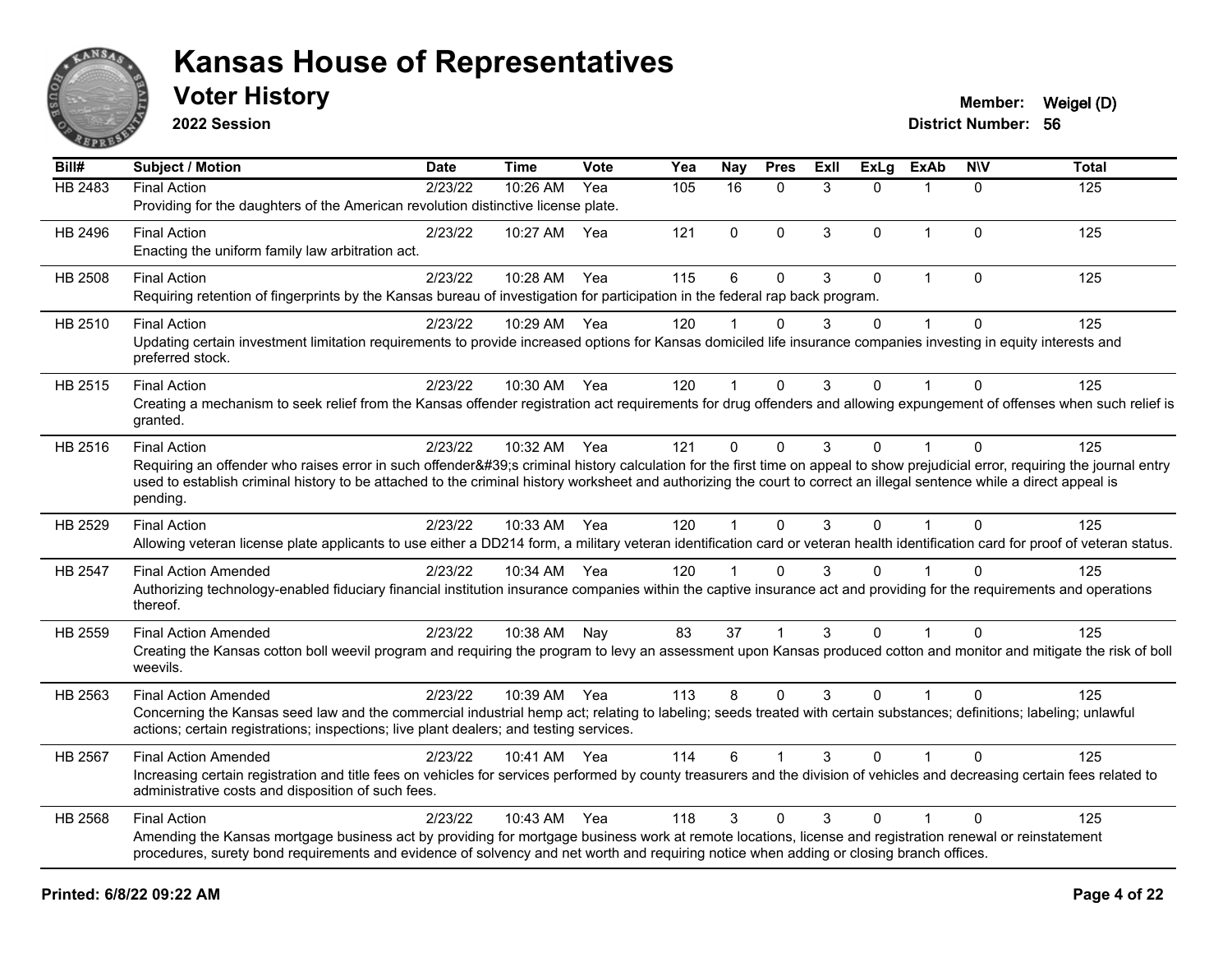

**2022 Session**

| Bill#   | <b>Subject / Motion</b>                                                                                                                                                                                                                                                                                                                                                                | <b>Date</b> | <b>Time</b>  | Vote | Yea | Nay      | <b>Pres</b> | ExIl | $\overline{ExLg}$ | <b>ExAb</b>    | <b>NIV</b>   | <b>Total</b> |
|---------|----------------------------------------------------------------------------------------------------------------------------------------------------------------------------------------------------------------------------------------------------------------------------------------------------------------------------------------------------------------------------------------|-------------|--------------|------|-----|----------|-------------|------|-------------------|----------------|--------------|--------------|
| HB 2483 | <b>Final Action</b><br>Providing for the daughters of the American revolution distinctive license plate.                                                                                                                                                                                                                                                                               | 2/23/22     | 10:26 AM     | Yea  | 105 | 16       | $\Omega$    | 3    | $\Omega$          | $\mathbf{1}$   | $\Omega$     | 125          |
| HB 2496 | <b>Final Action</b><br>Enacting the uniform family law arbitration act.                                                                                                                                                                                                                                                                                                                | 2/23/22     | 10:27 AM     | Yea  | 121 | 0        | $\mathbf 0$ | 3    | 0                 | $\mathbf{1}$   | 0            | 125          |
| HB 2508 | <b>Final Action</b><br>Requiring retention of fingerprints by the Kansas bureau of investigation for participation in the federal rap back program.                                                                                                                                                                                                                                    | 2/23/22     | 10:28 AM     | Yea  | 115 | $\,6$    | $\mathbf 0$ | 3    | $\mathbf{0}$      | $\mathbf{1}$   | $\mathbf 0$  | 125          |
| HB 2510 | <b>Final Action</b><br>Updating certain investment limitation requirements to provide increased options for Kansas domiciled life insurance companies investing in equity interests and<br>preferred stock.                                                                                                                                                                            | 2/23/22     | 10:29 AM Yea |      | 120 |          | $\Omega$    | 3    | $\Omega$          | 1              | $\Omega$     | 125          |
| HB 2515 | <b>Final Action</b><br>Creating a mechanism to seek relief from the Kansas offender registration act requirements for drug offenders and allowing expungement of offenses when such relief is<br>granted.                                                                                                                                                                              | 2/23/22     | 10:30 AM     | Yea  | 120 | 1        | $\Omega$    | 3    | $\Omega$          | 1              | $\mathbf{0}$ | 125          |
| HB 2516 | <b>Final Action</b><br>Requiring an offender who raises error in such offender's criminal history calculation for the first time on appeal to show prejudicial error, requiring the journal entry<br>used to establish criminal history to be attached to the criminal history worksheet and authorizing the court to correct an illegal sentence while a direct appeal is<br>pending. | 2/23/22     | 10:32 AM     | Yea  | 121 | $\Omega$ | $\Omega$    | 3    | $\Omega$          | $\mathbf{1}$   | $\Omega$     | 125          |
| HB 2529 | <b>Final Action</b><br>Allowing veteran license plate applicants to use either a DD214 form, a military veteran identification card or veteran health identification card for proof of veteran status.                                                                                                                                                                                 | 2/23/22     | 10:33 AM     | Yea  | 120 | 1        | $\Omega$    | 3    | $\Omega$          | 1              | $\Omega$     | 125          |
| HB 2547 | <b>Final Action Amended</b><br>Authorizing technology-enabled fiduciary financial institution insurance companies within the captive insurance act and providing for the requirements and operations<br>thereof.                                                                                                                                                                       | 2/23/22     | 10:34 AM Yea |      | 120 | 1        | $\Omega$    | 3    | $\Omega$          |                | $\Omega$     | 125          |
| HB 2559 | <b>Final Action Amended</b><br>Creating the Kansas cotton boll weevil program and requiring the program to levy an assessment upon Kansas produced cotton and monitor and mitigate the risk of boll<br>weevils.                                                                                                                                                                        | 2/23/22     | 10:38 AM     | Nay  | 83  | 37       | $\mathbf 1$ | 3    | $\Omega$          |                | $\mathbf 0$  | 125          |
| HB 2563 | <b>Final Action Amended</b><br>Concerning the Kansas seed law and the commercial industrial hemp act; relating to labeling; seeds treated with certain substances; definitions; labeling; unlawful<br>actions; certain registrations; inspections; live plant dealers; and testing services.                                                                                           | 2/23/22     | 10:39 AM Yea |      | 113 | 8        | $\Omega$    | 3    | $\Omega$          | $\overline{1}$ | $\Omega$     | 125          |
| HB 2567 | <b>Final Action Amended</b><br>Increasing certain registration and title fees on vehicles for services performed by county treasurers and the division of vehicles and decreasing certain fees related to<br>administrative costs and disposition of such fees.                                                                                                                        | 2/23/22     | 10:41 AM Yea |      | 114 | 6        | 1           | 3    | $\Omega$          | 1              | $\Omega$     | 125          |
| HB 2568 | <b>Final Action</b><br>Amending the Kansas mortgage business act by providing for mortgage business work at remote locations, license and registration renewal or reinstatement<br>procedures, surety bond requirements and evidence of solvency and net worth and requiring notice when adding or closing branch offices.                                                             | 2/23/22     | 10:43 AM     | Yea  | 118 | 3        | $\Omega$    | 3    | $\Omega$          | $\overline{1}$ | $\Omega$     | 125          |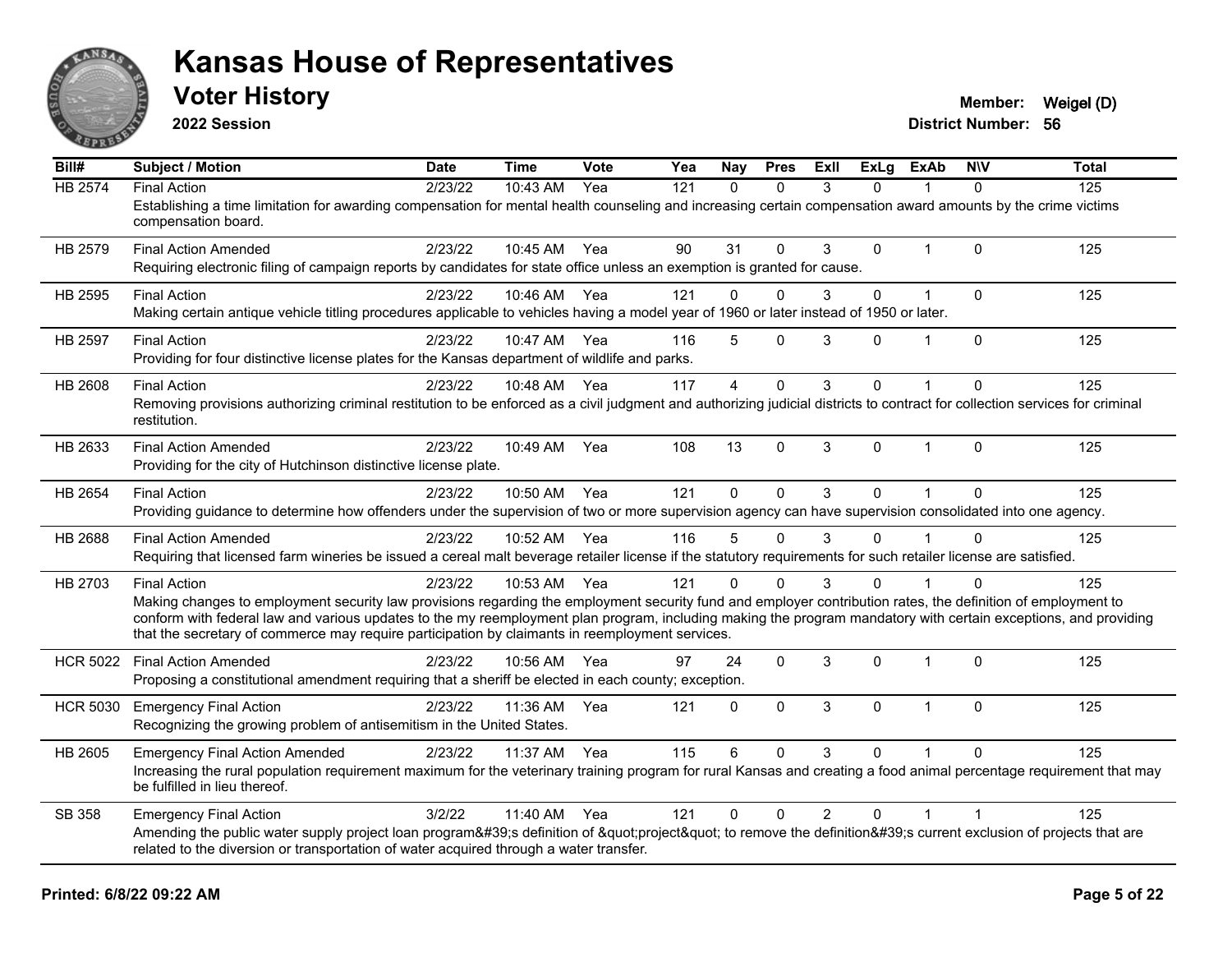

**2022 Session**

**District Number: 56 Voter History Member:** Weigel (D)

**Bill# Subject / Motion Date Time Vote Yea Nay Pres Exll ExLg ExAb N\V Total** HB 2574 Final Action 2/23/22 10:43 AM Yea 121 0 0 3 0 1 0 125 Establishing a time limitation for awarding compensation for mental health counseling and increasing certain compensation award amounts by the crime victims compensation board. HB 2579 Final Action Amended 2/23/22 10:45 AM Yea 90 31 0 3 0 1 0 125 Requiring electronic filing of campaign reports by candidates for state office unless an exemption is granted for cause. HB 2595 Final Action 2/23/22 10:46 AM Yea 121 0 0 3 0 1 0 125 Making certain antique vehicle titling procedures applicable to vehicles having a model year of 1960 or later instead of 1950 or later. HB 2597 Final Action 2/23/22 10:47 AM Yea 116 5 0 3 0 1 0 125 Providing for four distinctive license plates for the Kansas department of wildlife and parks. HB 2608 Final Action 2/23/22 10:48 AM Yea 117 4 0 3 0 1 0 125 Removing provisions authorizing criminal restitution to be enforced as a civil judgment and authorizing judicial districts to contract for collection services for criminal restitution. HB 2633 Final Action Amended 2023/22 10:49 AM Yea 108 13 0 3 0 1 0 125 Providing for the city of Hutchinson distinctive license plate. HB 2654 Final Action 2/23/22 10:50 AM Yea 121 0 0 3 0 1 0 125 Providing guidance to determine how offenders under the supervision of two or more supervision agency can have supervision consolidated into one agency. HB 2688 Final Action Amended 2023/22 10:52 AM Yea 116 5 0 3 0 1 0 125 Requiring that licensed farm wineries be issued a cereal malt beverage retailer license if the statutory requirements for such retailer license are satisfied. HB 2703 Final Action 2/23/22 10:53 AM Yea 121 0 0 3 0 1 0 125 Making changes to employment security law provisions regarding the employment security fund and employer contribution rates, the definition of employment to conform with federal law and various updates to the my reemployment plan program, including making the program mandatory with certain exceptions, and providing that the secretary of commerce may require participation by claimants in reemployment services. HCR 5022 Final Action Amended 2/23/22 10:56 AM Yea 97 24 0 3 0 1 0 125 Proposing a constitutional amendment requiring that a sheriff be elected in each county; exception. HCR 5030 Emergency Final Action 125 12/23/22 11:36 AM Yea 121 0 0 3 0 1 0 125 Recognizing the growing problem of antisemitism in the United States. HB 2605 Emergency Final Action Amended 2/23/22 11:37 AM Yea 115 6 0 3 0 1 0 125 Increasing the rural population requirement maximum for the veterinary training program for rural Kansas and creating a food animal percentage requirement that may be fulfilled in lieu thereof. SB 358 Emergency Final Action 2012/22 11:40 AM Yea 121 0 0 2 0 1 1 Amending the public water supply project loan program's definition of "project" to remove the definition's current exclusion of projects that are related to the diversion or transportation of water acquired through a water transfer.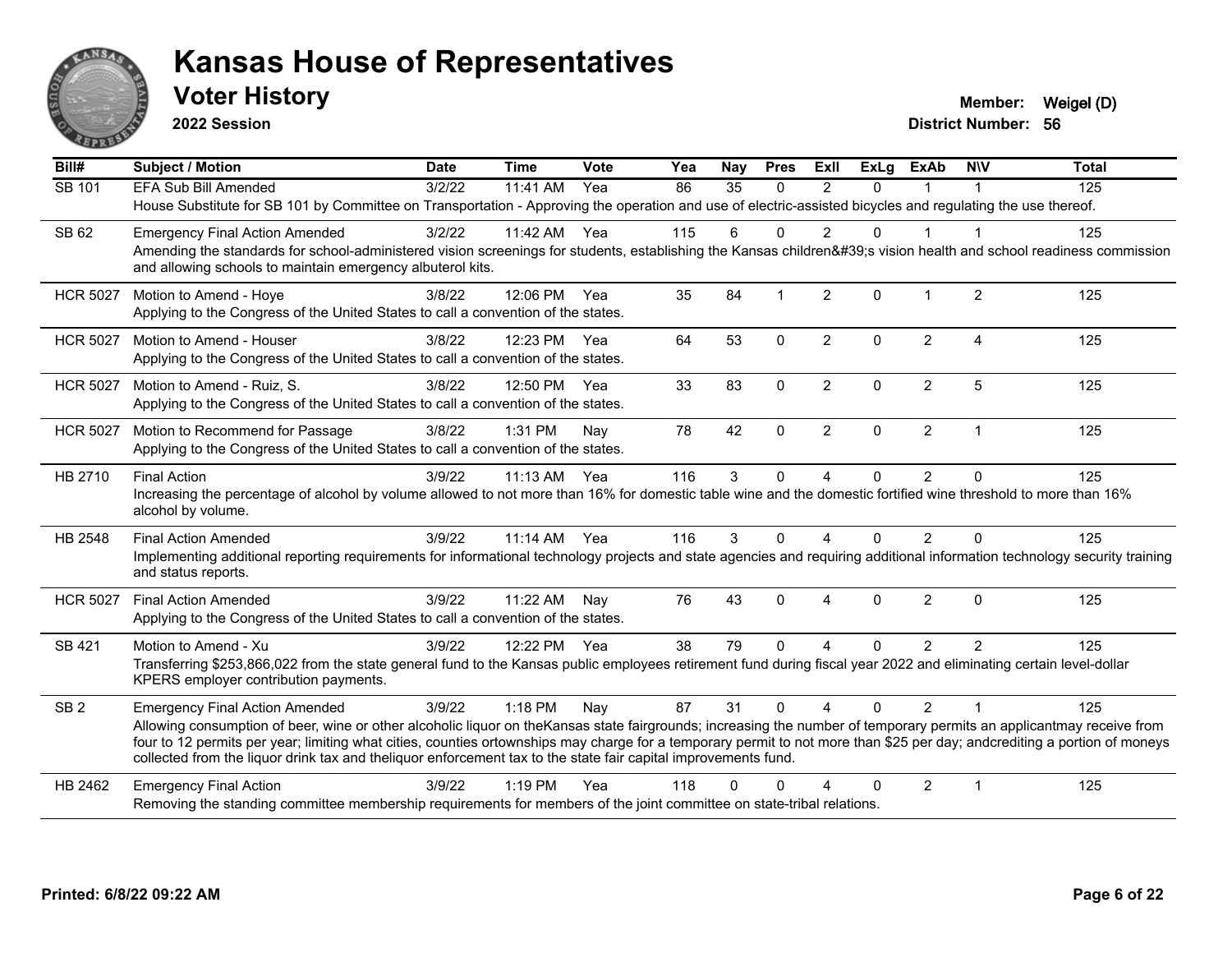

**2022 Session**

| Bill#           | <b>Subject / Motion</b>                                                                                                                                                                                                                                                                                                                                                                                                                                              | <b>Date</b> | <b>Time</b> | Vote | Yea | Nay      | <b>Pres</b>             | ExII           | <b>ExLg</b> | <b>ExAb</b>    | <b>NIV</b>             | <b>Total</b> |
|-----------------|----------------------------------------------------------------------------------------------------------------------------------------------------------------------------------------------------------------------------------------------------------------------------------------------------------------------------------------------------------------------------------------------------------------------------------------------------------------------|-------------|-------------|------|-----|----------|-------------------------|----------------|-------------|----------------|------------------------|--------------|
| SB 101          | EFA Sub Bill Amended                                                                                                                                                                                                                                                                                                                                                                                                                                                 | 3/2/22      | 11:41 AM    | Yea  | 86  | 35       | $\Omega$                | $\mathfrak{p}$ | $\Omega$    |                |                        | 125          |
|                 | House Substitute for SB 101 by Committee on Transportation - Approving the operation and use of electric-assisted bicycles and regulating the use thereof.                                                                                                                                                                                                                                                                                                           |             |             |      |     |          |                         |                |             |                |                        |              |
| SB 62           | <b>Emergency Final Action Amended</b>                                                                                                                                                                                                                                                                                                                                                                                                                                | 3/2/22      | 11:42 AM    | Yea  | 115 | 6        | $\Omega$                | $\overline{2}$ | $\Omega$    | $\mathbf{1}$   | -1                     | 125          |
|                 | Amending the standards for school-administered vision screenings for students, establishing the Kansas children's vision health and school readiness commission<br>and allowing schools to maintain emergency albuterol kits.                                                                                                                                                                                                                                        |             |             |      |     |          |                         |                |             |                |                        |              |
| <b>HCR 5027</b> | Motion to Amend - Hoye                                                                                                                                                                                                                                                                                                                                                                                                                                               | 3/8/22      | 12:06 PM    | Yea  | 35  | 84       | $\overline{\mathbf{1}}$ | $\overline{2}$ | $\Omega$    | $\mathbf 1$    | $\overline{2}$         | 125          |
|                 | Applying to the Congress of the United States to call a convention of the states.                                                                                                                                                                                                                                                                                                                                                                                    |             |             |      |     |          |                         |                |             |                |                        |              |
| <b>HCR 5027</b> | Motion to Amend - Houser                                                                                                                                                                                                                                                                                                                                                                                                                                             | 3/8/22      | 12:23 PM    | Yea  | 64  | 53       | $\mathbf 0$             | $\overline{2}$ | $\Omega$    | $\overline{2}$ | $\boldsymbol{\Lambda}$ | 125          |
|                 | Applying to the Congress of the United States to call a convention of the states.                                                                                                                                                                                                                                                                                                                                                                                    |             |             |      |     |          |                         |                |             |                |                        |              |
| <b>HCR 5027</b> | Motion to Amend - Ruiz, S.                                                                                                                                                                                                                                                                                                                                                                                                                                           | 3/8/22      | 12:50 PM    | Yea  | 33  | 83       | $\mathbf{0}$            | $\overline{2}$ | $\Omega$    | $\overline{2}$ | 5                      | 125          |
|                 | Applying to the Congress of the United States to call a convention of the states.                                                                                                                                                                                                                                                                                                                                                                                    |             |             |      |     |          |                         |                |             |                |                        |              |
| <b>HCR 5027</b> | Motion to Recommend for Passage                                                                                                                                                                                                                                                                                                                                                                                                                                      | 3/8/22      | 1:31 PM     | Nay  | 78  | 42       | $\mathbf 0$             | $\overline{2}$ | $\Omega$    | $\overline{2}$ | $\overline{1}$         | 125          |
|                 | Applying to the Congress of the United States to call a convention of the states.                                                                                                                                                                                                                                                                                                                                                                                    |             |             |      |     |          |                         |                |             |                |                        |              |
| HB 2710         | <b>Final Action</b>                                                                                                                                                                                                                                                                                                                                                                                                                                                  | 3/9/22      | 11:13 AM    | Yea  | 116 | 3        | $\mathbf 0$             | 4              | 0           | $\overline{2}$ | $\mathbf{0}$           | 125          |
|                 | Increasing the percentage of alcohol by volume allowed to not more than 16% for domestic table wine and the domestic fortified wine threshold to more than 16%<br>alcohol by volume.                                                                                                                                                                                                                                                                                 |             |             |      |     |          |                         |                |             |                |                        |              |
| HB 2548         | <b>Final Action Amended</b>                                                                                                                                                                                                                                                                                                                                                                                                                                          | 3/9/22      | $11:14$ AM  | Yea  | 116 | 3        | $\Omega$                | 4              | $\Omega$    | 2              | $\Omega$               | 125          |
|                 | Implementing additional reporting requirements for informational technology projects and state agencies and requiring additional information technology security training<br>and status reports.                                                                                                                                                                                                                                                                     |             |             |      |     |          |                         |                |             |                |                        |              |
| <b>HCR 5027</b> | <b>Final Action Amended</b>                                                                                                                                                                                                                                                                                                                                                                                                                                          | 3/9/22      | 11:22 AM    | Nay  | 76  | 43       | $\mathbf{0}$            | $\overline{4}$ | $\Omega$    | $\overline{2}$ | $\mathbf{0}$           | 125          |
|                 | Applying to the Congress of the United States to call a convention of the states.                                                                                                                                                                                                                                                                                                                                                                                    |             |             |      |     |          |                         |                |             |                |                        |              |
| SB 421          | Motion to Amend - Xu                                                                                                                                                                                                                                                                                                                                                                                                                                                 | 3/9/22      | 12:22 PM    | Yea  | 38  | 79       | $\Omega$                | 4              | $\Omega$    | $\overline{2}$ | 2                      | 125          |
|                 | Transferring \$253,866,022 from the state general fund to the Kansas public employees retirement fund during fiscal year 2022 and eliminating certain level-dollar<br>KPERS employer contribution payments.                                                                                                                                                                                                                                                          |             |             |      |     |          |                         |                |             |                |                        |              |
| SB <sub>2</sub> | <b>Emergency Final Action Amended</b>                                                                                                                                                                                                                                                                                                                                                                                                                                | 3/9/22      | $1:18$ PM   | Nay  | 87  | 31       | $\Omega$                | $\Delta$       | $\Omega$    | $\mathcal{P}$  | $\overline{1}$         | 125          |
|                 | Allowing consumption of beer, wine or other alcoholic liquor on the Kansas state fairgrounds; increasing the number of temporary permits an applicantmay receive from<br>four to 12 permits per year; limiting what cities, counties ortownships may charge for a temporary permit to not more than \$25 per day; andcrediting a portion of moneys<br>collected from the liquor drink tax and theliquor enforcement tax to the state fair capital improvements fund. |             |             |      |     |          |                         |                |             |                |                        |              |
| HB 2462         | <b>Emergency Final Action</b>                                                                                                                                                                                                                                                                                                                                                                                                                                        | 3/9/22      | $1:19$ PM   | Yea  | 118 | $\Omega$ | $\Omega$                | Δ              | $\Omega$    | $\overline{2}$ | $\mathbf 1$            | 125          |
|                 | Removing the standing committee membership requirements for members of the joint committee on state-tribal relations.                                                                                                                                                                                                                                                                                                                                                |             |             |      |     |          |                         |                |             |                |                        |              |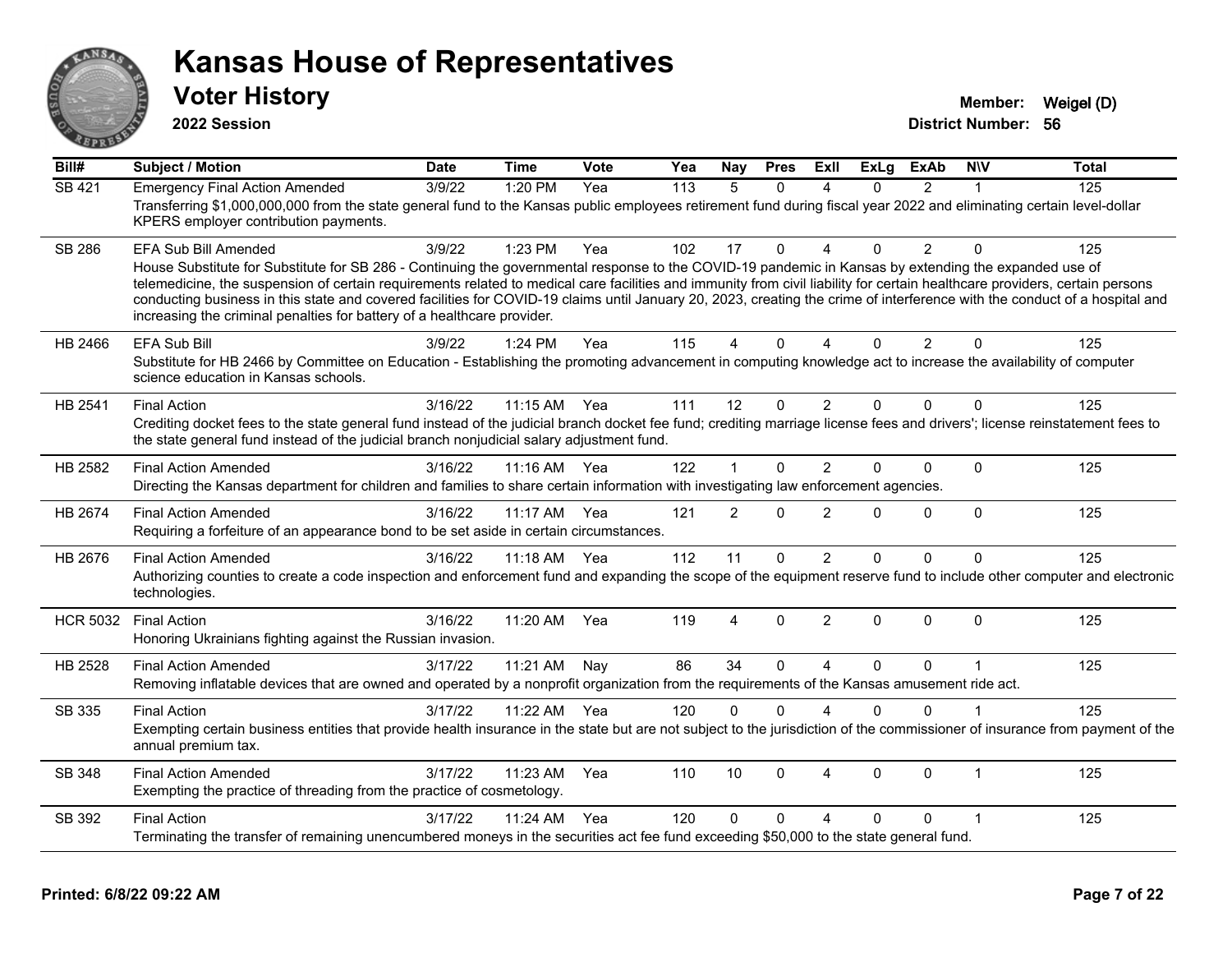

**2022 Session**

**Voter History Member:** Weigel (D)

**District Number: 56**

| Bill#           | <b>Subject / Motion</b>                                                                                                                                                                                                                                                                                                                                                                                                                                                                                                                                                                       | <b>Date</b> | <b>Time</b> | Vote | Yea | Nay            | <b>Pres</b>  | ExII                   | ExLg         | <b>ExAb</b>    | <b>NIV</b>              | <b>Total</b> |
|-----------------|-----------------------------------------------------------------------------------------------------------------------------------------------------------------------------------------------------------------------------------------------------------------------------------------------------------------------------------------------------------------------------------------------------------------------------------------------------------------------------------------------------------------------------------------------------------------------------------------------|-------------|-------------|------|-----|----------------|--------------|------------------------|--------------|----------------|-------------------------|--------------|
| <b>SB 421</b>   | <b>Emergency Final Action Amended</b>                                                                                                                                                                                                                                                                                                                                                                                                                                                                                                                                                         | 3/9/22      | 1:20 PM     | Yea  | 113 | 5              | $\Omega$     |                        | 0            | $\overline{2}$ |                         | 125          |
|                 | Transferring \$1,000,000,000 from the state general fund to the Kansas public employees retirement fund during fiscal year 2022 and eliminating certain level-dollar<br>KPERS employer contribution payments.                                                                                                                                                                                                                                                                                                                                                                                 |             |             |      |     |                |              |                        |              |                |                         |              |
| <b>SB 286</b>   | EFA Sub Bill Amended                                                                                                                                                                                                                                                                                                                                                                                                                                                                                                                                                                          | 3/9/22      | 1:23 PM     | Yea  | 102 | 17             | $\Omega$     | Δ                      | $\Omega$     | $\overline{2}$ | $\Omega$                | 125          |
|                 | House Substitute for Substitute for SB 286 - Continuing the governmental response to the COVID-19 pandemic in Kansas by extending the expanded use of<br>telemedicine, the suspension of certain requirements related to medical care facilities and immunity from civil liability for certain healthcare providers, certain persons<br>conducting business in this state and covered facilities for COVID-19 claims until January 20, 2023, creating the crime of interference with the conduct of a hospital and<br>increasing the criminal penalties for battery of a healthcare provider. |             |             |      |     |                |              |                        |              |                |                         |              |
| HB 2466         | <b>EFA Sub Bill</b>                                                                                                                                                                                                                                                                                                                                                                                                                                                                                                                                                                           | 3/9/22      | 1:24 PM     | Yea  | 115 | 4              | $\Omega$     | $\Delta$               | $\Omega$     | 2              | $\Omega$                | 125          |
|                 | Substitute for HB 2466 by Committee on Education - Establishing the promoting advancement in computing knowledge act to increase the availability of computer<br>science education in Kansas schools.                                                                                                                                                                                                                                                                                                                                                                                         |             |             |      |     |                |              |                        |              |                |                         |              |
| HB 2541         | <b>Final Action</b>                                                                                                                                                                                                                                                                                                                                                                                                                                                                                                                                                                           | 3/16/22     | $11:15$ AM  | Yea  | 111 | 12             | $\Omega$     | 2                      | $\Omega$     | $\Omega$       | $\Omega$                | 125          |
|                 | Crediting docket fees to the state general fund instead of the judicial branch docket fee fund; crediting marriage license fees and drivers'; license reinstatement fees to<br>the state general fund instead of the judicial branch nonjudicial salary adjustment fund.                                                                                                                                                                                                                                                                                                                      |             |             |      |     |                |              |                        |              |                |                         |              |
| HB 2582         | <b>Final Action Amended</b>                                                                                                                                                                                                                                                                                                                                                                                                                                                                                                                                                                   | 3/16/22     | $11:16$ AM  | Yea  | 122 |                | $\mathbf{0}$ | $\overline{2}$         | $\Omega$     | $\Omega$       | $\Omega$                | 125          |
|                 | Directing the Kansas department for children and families to share certain information with investigating law enforcement agencies.                                                                                                                                                                                                                                                                                                                                                                                                                                                           |             |             |      |     |                |              |                        |              |                |                         |              |
| HB 2674         | <b>Final Action Amended</b><br>Requiring a forfeiture of an appearance bond to be set aside in certain circumstances.                                                                                                                                                                                                                                                                                                                                                                                                                                                                         | 3/16/22     | 11:17 AM    | Yea  | 121 | $\overline{2}$ | $\mathbf{0}$ | $\overline{2}$         | $\Omega$     | $\mathbf 0$    | $\mathbf 0$             | 125          |
| HB 2676         | <b>Final Action Amended</b>                                                                                                                                                                                                                                                                                                                                                                                                                                                                                                                                                                   | 3/16/22     | 11:18 AM    | Yea  | 112 | 11             | $\Omega$     | $\overline{2}$         | $\Omega$     | $\Omega$       | $\mathbf{0}$            | 125          |
|                 | Authorizing counties to create a code inspection and enforcement fund and expanding the scope of the equipment reserve fund to include other computer and electronic<br>technologies.                                                                                                                                                                                                                                                                                                                                                                                                         |             |             |      |     |                |              |                        |              |                |                         |              |
| <b>HCR 5032</b> | <b>Final Action</b>                                                                                                                                                                                                                                                                                                                                                                                                                                                                                                                                                                           | 3/16/22     | 11:20 AM    | Yea  | 119 | $\overline{4}$ | $\mathbf{0}$ | $\overline{2}$         | $\mathbf{0}$ | $\Omega$       | $\Omega$                | 125          |
|                 | Honoring Ukrainians fighting against the Russian invasion.                                                                                                                                                                                                                                                                                                                                                                                                                                                                                                                                    |             |             |      |     |                |              |                        |              |                |                         |              |
| HB 2528         | <b>Final Action Amended</b>                                                                                                                                                                                                                                                                                                                                                                                                                                                                                                                                                                   | 3/17/22     | 11:21 AM    | Nav  | 86  | 34             | $\Omega$     | $\Delta$               | $\Omega$     | $\Omega$       | $\overline{\mathbf{1}}$ | 125          |
|                 | Removing inflatable devices that are owned and operated by a nonprofit organization from the requirements of the Kansas amusement ride act.                                                                                                                                                                                                                                                                                                                                                                                                                                                   |             |             |      |     |                |              |                        |              |                |                         |              |
| SB 335          | <b>Final Action</b>                                                                                                                                                                                                                                                                                                                                                                                                                                                                                                                                                                           | 3/17/22     | 11:22 AM    | Yea  | 120 | $\Omega$       | $\Omega$     | $\Delta$               | $\Omega$     | $\mathbf{0}$   |                         | 125          |
|                 | Exempting certain business entities that provide health insurance in the state but are not subject to the jurisdiction of the commissioner of insurance from payment of the<br>annual premium tax.                                                                                                                                                                                                                                                                                                                                                                                            |             |             |      |     |                |              |                        |              |                |                         |              |
| SB 348          | <b>Final Action Amended</b>                                                                                                                                                                                                                                                                                                                                                                                                                                                                                                                                                                   | 3/17/22     | 11:23 AM    | Yea  | 110 | 10             | $\Omega$     | $\boldsymbol{\Lambda}$ | $\Omega$     | $\Omega$       | $\overline{1}$          | 125          |
|                 | Exempting the practice of threading from the practice of cosmetology.                                                                                                                                                                                                                                                                                                                                                                                                                                                                                                                         |             |             |      |     |                |              |                        |              |                |                         |              |
| SB 392          | <b>Final Action</b>                                                                                                                                                                                                                                                                                                                                                                                                                                                                                                                                                                           | 3/17/22     | 11:24 AM    | Yea  | 120 | $\Omega$       | $\Omega$     | 4                      | 0            | $\Omega$       |                         | 125          |
|                 | Terminating the transfer of remaining unencumbered moneys in the securities act fee fund exceeding \$50,000 to the state general fund.                                                                                                                                                                                                                                                                                                                                                                                                                                                        |             |             |      |     |                |              |                        |              |                |                         |              |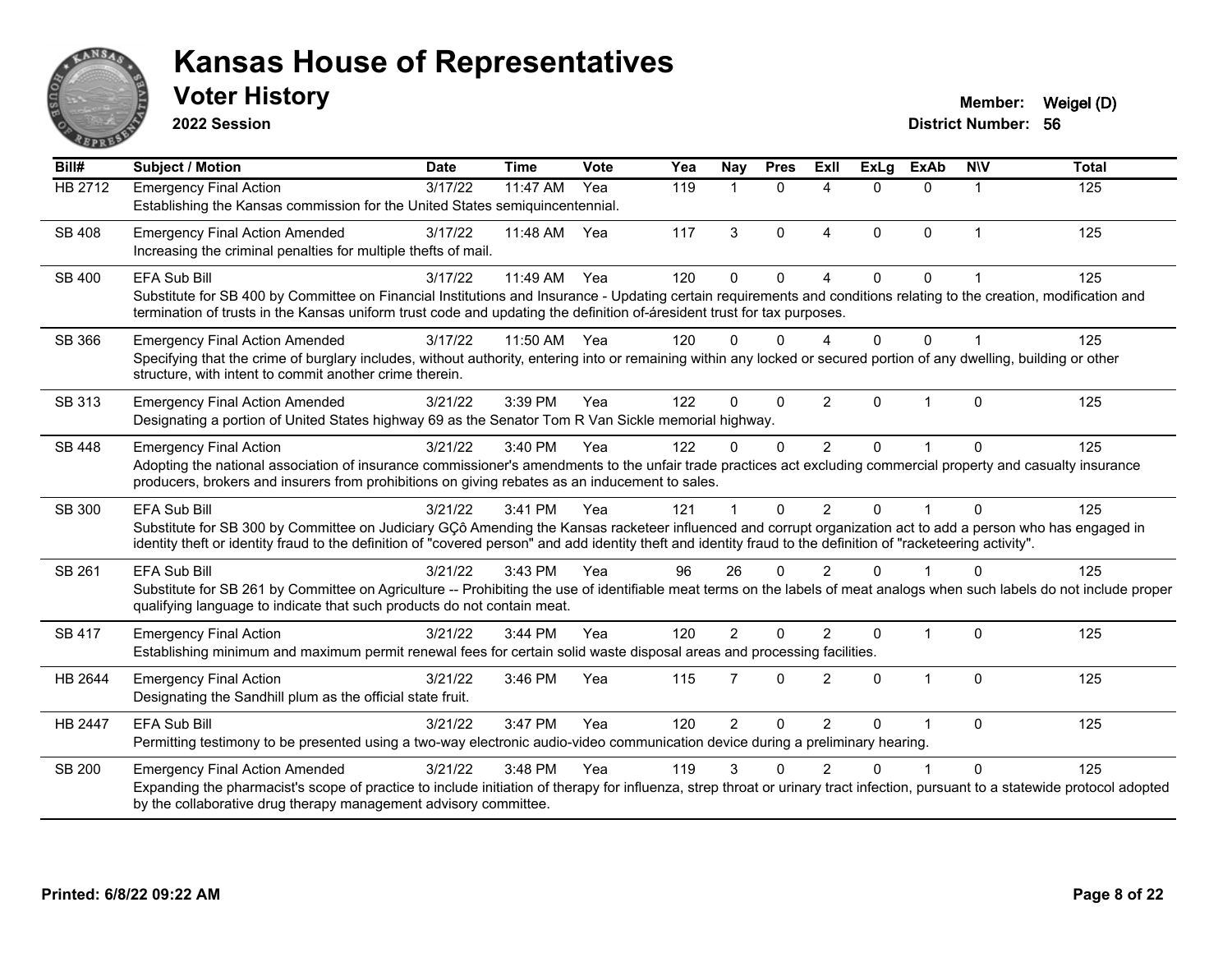

**2022 Session**

| Bill#          | <b>Subject / Motion</b>                                                                                                                                                                                                                                                                                                                               | <b>Date</b> | <b>Time</b> | Vote | Yea | Nay            | <b>Pres</b>  | <b>ExII</b>            | <b>ExLg</b> | <b>ExAb</b>    | <b>NIV</b>     | <b>Total</b> |
|----------------|-------------------------------------------------------------------------------------------------------------------------------------------------------------------------------------------------------------------------------------------------------------------------------------------------------------------------------------------------------|-------------|-------------|------|-----|----------------|--------------|------------------------|-------------|----------------|----------------|--------------|
| HB 2712        | <b>Emergency Final Action</b><br>Establishing the Kansas commission for the United States semiquincentennial.                                                                                                                                                                                                                                         | 3/17/22     | 11:47 AM    | Yea  | 119 | 1              | $\Omega$     | 4                      | 0           | 0              | 1              | 125          |
| SB 408         | <b>Emergency Final Action Amended</b><br>Increasing the criminal penalties for multiple thefts of mail.                                                                                                                                                                                                                                               | 3/17/22     | 11:48 AM    | Yea  | 117 | 3              | $\Omega$     | $\boldsymbol{\Lambda}$ | $\Omega$    | $\Omega$       | $\overline{1}$ | 125          |
| SB 400         | EFA Sub Bill<br>Substitute for SB 400 by Committee on Financial Institutions and Insurance - Updating certain requirements and conditions relating to the creation, modification and<br>termination of trusts in the Kansas uniform trust code and updating the definition of-áresident trust for tax purposes.                                       | 3/17/22     | 11:49 AM    | Yea  | 120 | $\Omega$       | $\Omega$     | $\boldsymbol{\Lambda}$ | $\Omega$    | $\Omega$       |                | 125          |
| SB 366         | <b>Emergency Final Action Amended</b><br>Specifying that the crime of burglary includes, without authority, entering into or remaining within any locked or secured portion of any dwelling, building or other<br>structure, with intent to commit another crime therein.                                                                             | 3/17/22     | 11:50 AM    | Yea  | 120 | $\Omega$       | $\Omega$     |                        | 0           | 0              |                | 125          |
| SB 313         | <b>Emergency Final Action Amended</b><br>Designating a portion of United States highway 69 as the Senator Tom R Van Sickle memorial highway.                                                                                                                                                                                                          | 3/21/22     | 3:39 PM     | Yea  | 122 | $\Omega$       | $\Omega$     | 2                      | $\Omega$    | $\overline{1}$ | $\Omega$       | 125          |
| <b>SB 448</b>  | <b>Emergency Final Action</b><br>Adopting the national association of insurance commissioner's amendments to the unfair trade practices act excluding commercial property and casualty insurance<br>producers, brokers and insurers from prohibitions on giving rebates as an inducement to sales.                                                    | 3/21/22     | 3:40 PM     | Yea  | 122 | 0              | $\mathbf{0}$ | $\overline{2}$         | 0           |                | $\Omega$       | 125          |
| SB 300         | <b>EFA Sub Bill</b><br>Substitute for SB 300 by Committee on Judiciary GCô Amending the Kansas racketeer influenced and corrupt organization act to add a person who has engaged in<br>identity theft or identity fraud to the definition of "covered person" and add identity theft and identity fraud to the definition of "racketeering activity". | 3/21/22     | $3:41$ PM   | Yea  | 121 |                | $\Omega$     | $\mathcal{P}$          | $\Omega$    |                | $\Omega$       | 125          |
| SB 261         | <b>EFA Sub Bill</b><br>Substitute for SB 261 by Committee on Agriculture -- Prohibiting the use of identifiable meat terms on the labels of meat analogs when such labels do not include proper<br>qualifying language to indicate that such products do not contain meat.                                                                            | 3/21/22     | $3:43$ PM   | Yea  | 96  | 26             | $\Omega$     | $\mathcal{P}$          | U           |                | ∩              | 125          |
| <b>SB 417</b>  | <b>Emergency Final Action</b><br>Establishing minimum and maximum permit renewal fees for certain solid waste disposal areas and processing facilities.                                                                                                                                                                                               | 3/21/22     | 3:44 PM     | Yea  | 120 | $\overline{2}$ | $\Omega$     | $\mathcal{P}$          | $\Omega$    | $\overline{1}$ | $\Omega$       | 125          |
| HB 2644        | <b>Emergency Final Action</b><br>Designating the Sandhill plum as the official state fruit.                                                                                                                                                                                                                                                           | 3/21/22     | 3:46 PM     | Yea  | 115 | $\overline{7}$ | $\mathbf 0$  | $\overline{2}$         | $\Omega$    | $\mathbf{1}$   | $\mathbf{0}$   | 125          |
| <b>HB 2447</b> | <b>EFA Sub Bill</b><br>Permitting testimony to be presented using a two-way electronic audio-video communication device during a preliminary hearing.                                                                                                                                                                                                 | 3/21/22     | 3:47 PM     | Yea  | 120 | $\overline{2}$ | $\Omega$     | $\overline{2}$         | $\Omega$    | $\mathbf{1}$   | $\Omega$       | 125          |
| <b>SB 200</b>  | <b>Emergency Final Action Amended</b><br>Expanding the pharmacist's scope of practice to include initiation of therapy for influenza, strep throat or urinary tract infection, pursuant to a statewide protocol adopted<br>by the collaborative drug therapy management advisory committee.                                                           | 3/21/22     | 3:48 PM     | Yea  | 119 | 3              | 0            | $\mathfrak{p}$         | 0           |                | $\Omega$       | 125          |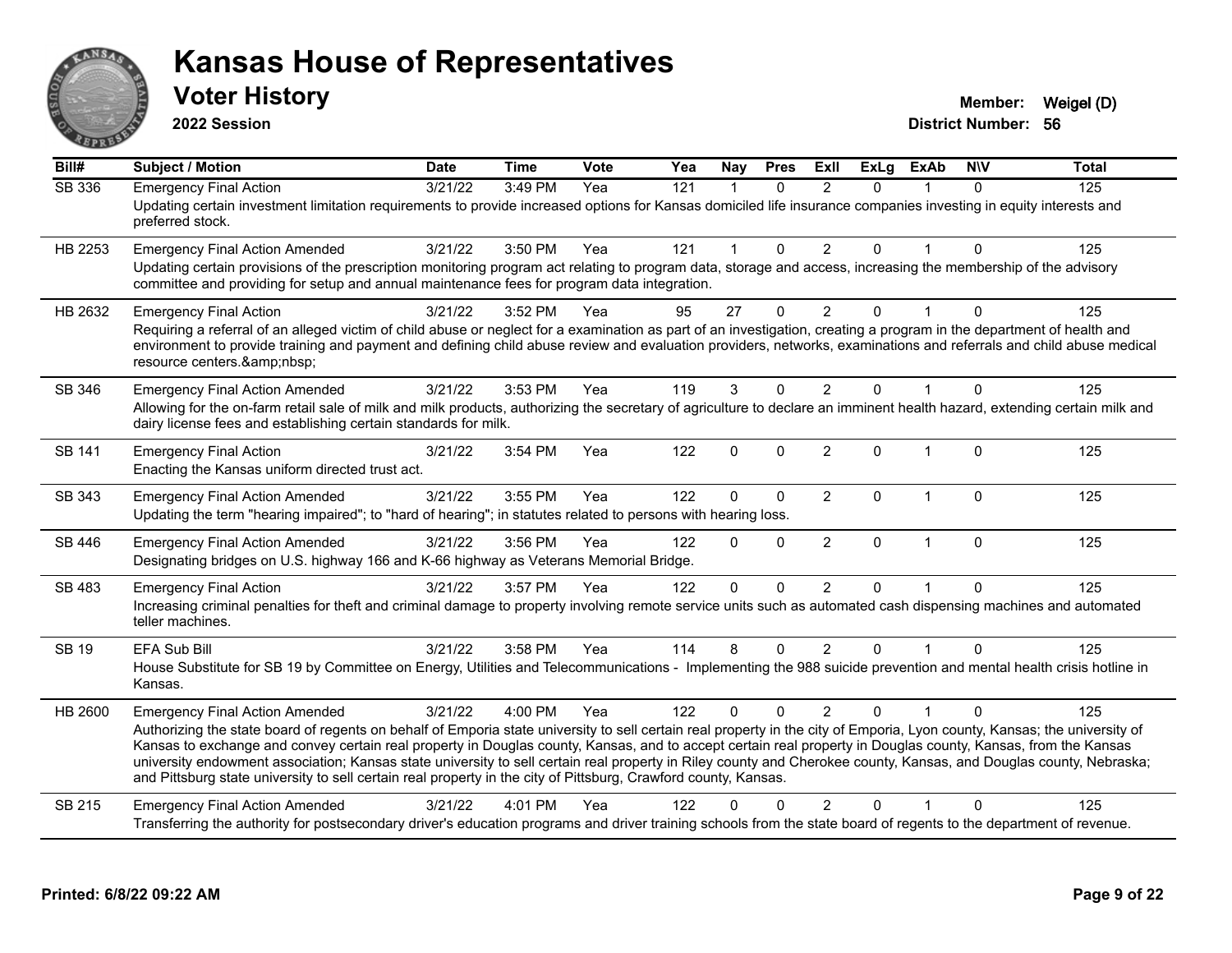

**2022 Session**

| Bill#         | <b>Subject / Motion</b>                                                                                                                                                                                                                                                                                                                                          | <b>Date</b> | <b>Time</b> | Vote | Yea | Nay          | <b>Pres</b>  | ExII           | <b>ExLg</b>  | <b>ExAb</b>    | <b>NIV</b>  | Total |
|---------------|------------------------------------------------------------------------------------------------------------------------------------------------------------------------------------------------------------------------------------------------------------------------------------------------------------------------------------------------------------------|-------------|-------------|------|-----|--------------|--------------|----------------|--------------|----------------|-------------|-------|
| <b>SB 336</b> | <b>Emergency Final Action</b>                                                                                                                                                                                                                                                                                                                                    | 3/21/22     | 3:49 PM     | Yea  | 121 | $\mathbf{1}$ | $\Omega$     | $\overline{2}$ | $\Omega$     |                | $\Omega$    | 125   |
|               | Updating certain investment limitation requirements to provide increased options for Kansas domiciled life insurance companies investing in equity interests and<br>preferred stock.                                                                                                                                                                             |             |             |      |     |              |              |                |              |                |             |       |
| HB 2253       | <b>Emergency Final Action Amended</b>                                                                                                                                                                                                                                                                                                                            | 3/21/22     | 3:50 PM     | Yea  | 121 |              | $\Omega$     | $\overline{2}$ | 0            |                | $\Omega$    | 125   |
|               | Updating certain provisions of the prescription monitoring program act relating to program data, storage and access, increasing the membership of the advisory<br>committee and providing for setup and annual maintenance fees for program data integration.                                                                                                    |             |             |      |     |              |              |                |              |                |             |       |
| HB 2632       | <b>Emergency Final Action</b>                                                                                                                                                                                                                                                                                                                                    | 3/21/22     | 3:52 PM     | Yea  | 95  | 27           | $\Omega$     | $\overline{2}$ | 0            | $\overline{1}$ | $\Omega$    | 125   |
|               | Requiring a referral of an alleged victim of child abuse or neglect for a examination as part of an investigation, creating a program in the department of health and<br>environment to provide training and payment and defining child abuse review and evaluation providers, networks, examinations and referrals and child abuse medical<br>resource centers. |             |             |      |     |              |              |                |              |                |             |       |
| SB 346        | <b>Emergency Final Action Amended</b>                                                                                                                                                                                                                                                                                                                            | 3/21/22     | 3:53 PM     | Yea  | 119 | 3            | $\mathbf{0}$ | 2              | 0            |                | $\Omega$    | 125   |
|               | Allowing for the on-farm retail sale of milk and milk products, authorizing the secretary of agriculture to declare an imminent health hazard, extending certain milk and<br>dairy license fees and establishing certain standards for milk.                                                                                                                     |             |             |      |     |              |              |                |              |                |             |       |
| <b>SB 141</b> | <b>Emergency Final Action</b><br>Enacting the Kansas uniform directed trust act.                                                                                                                                                                                                                                                                                 | 3/21/22     | 3:54 PM     | Yea  | 122 | $\Omega$     | $\Omega$     | 2              | $\Omega$     | $\overline{1}$ | $\Omega$    | 125   |
| SB 343        | <b>Emergency Final Action Amended</b>                                                                                                                                                                                                                                                                                                                            | 3/21/22     | 3:55 PM     | Yea  | 122 | $\Omega$     | $\mathbf 0$  | $\overline{2}$ | $\Omega$     | $\mathbf{1}$   | $\mathbf 0$ | 125   |
|               | Updating the term "hearing impaired"; to "hard of hearing"; in statutes related to persons with hearing loss.                                                                                                                                                                                                                                                    |             |             |      |     |              |              |                |              |                |             |       |
| <b>SB 446</b> | <b>Emergency Final Action Amended</b>                                                                                                                                                                                                                                                                                                                            | 3/21/22     | 3:56 PM     | Yea  | 122 | $\Omega$     | $\Omega$     | $\overline{2}$ | $\mathbf{0}$ | $\mathbf{1}$   | $\mathbf 0$ | 125   |
|               | Designating bridges on U.S. highway 166 and K-66 highway as Veterans Memorial Bridge.                                                                                                                                                                                                                                                                            |             |             |      |     |              |              |                |              |                |             |       |
| SB 483        | <b>Emergency Final Action</b>                                                                                                                                                                                                                                                                                                                                    | 3/21/22     | 3:57 PM     | Yea  | 122 | $\Omega$     | $\Omega$     | $\overline{2}$ | 0            |                | $\Omega$    | 125   |
|               | Increasing criminal penalties for theft and criminal damage to property involving remote service units such as automated cash dispensing machines and automated<br>teller machines.                                                                                                                                                                              |             |             |      |     |              |              |                |              |                |             |       |
| <b>SB 19</b>  | <b>EFA Sub Bill</b>                                                                                                                                                                                                                                                                                                                                              | 3/21/22     | 3:58 PM     | Yea  | 114 | 8            | $\Omega$     | $\overline{2}$ | $\Omega$     |                | $\Omega$    | 125   |
|               | House Substitute for SB 19 by Committee on Energy, Utilities and Telecommunications - Implementing the 988 suicide prevention and mental health crisis hotline in<br>Kansas.                                                                                                                                                                                     |             |             |      |     |              |              |                |              |                |             |       |
| HB 2600       | <b>Emergency Final Action Amended</b>                                                                                                                                                                                                                                                                                                                            | 3/21/22     | 4:00 PM     | Yea  | 122 | $\Omega$     | $\Omega$     | $\mathfrak{p}$ | $\Omega$     |                | $\Omega$    | 125   |
|               | Authorizing the state board of regents on behalf of Emporia state university to sell certain real property in the city of Emporia, Lyon county, Kansas; the university of<br>Kansas to exchange and convey certain real property in Douglas county, Kansas, and to accept certain real property in Douglas county, Kansas, from the Kansas                       |             |             |      |     |              |              |                |              |                |             |       |
|               | university endowment association; Kansas state university to sell certain real property in Riley county and Cherokee county, Kansas, and Douglas county, Nebraska;                                                                                                                                                                                               |             |             |      |     |              |              |                |              |                |             |       |
|               | and Pittsburg state university to sell certain real property in the city of Pittsburg, Crawford county, Kansas.                                                                                                                                                                                                                                                  |             |             |      |     |              |              |                |              |                |             |       |
| SB 215        | <b>Emergency Final Action Amended</b>                                                                                                                                                                                                                                                                                                                            | 3/21/22     | 4:01 PM     | Yea  | 122 | 0            | $\Omega$     | $\mathfrak{p}$ | 0            |                | $\Omega$    | 125   |
|               | Transferring the authority for postsecondary driver's education programs and driver training schools from the state board of regents to the department of revenue.                                                                                                                                                                                               |             |             |      |     |              |              |                |              |                |             |       |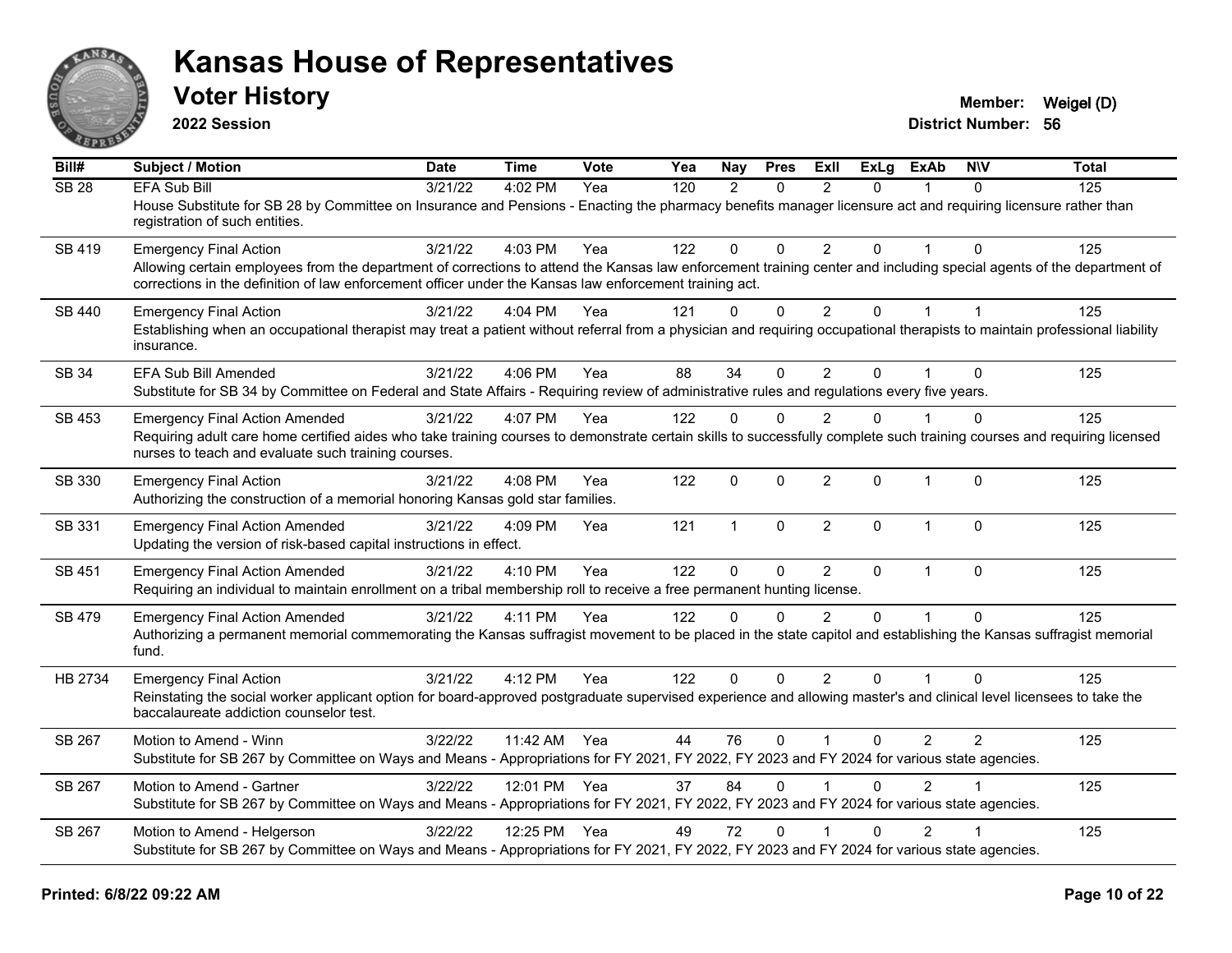

**2022 Session**

**Voter History Member:** Weigel (D)

**District Number: 56**

| Bill#            | Subject / Motion                                                                                                                                                                                                                                                                                                 | <b>Date</b> | <b>Time</b>  | Vote | Yea | <b>Nay</b>   | <b>Pres</b>  | <b>Exll</b>    | <b>ExLg</b>  | <b>ExAb</b>    | <b>NIV</b>     | <b>Total</b> |
|------------------|------------------------------------------------------------------------------------------------------------------------------------------------------------------------------------------------------------------------------------------------------------------------------------------------------------------|-------------|--------------|------|-----|--------------|--------------|----------------|--------------|----------------|----------------|--------------|
| SB <sub>28</sub> | <b>EFA Sub Bill</b><br>House Substitute for SB 28 by Committee on Insurance and Pensions - Enacting the pharmacy benefits manager licensure act and requiring licensure rather than<br>registration of such entities.                                                                                            | 3/21/22     | 4:02 PM      | Yea  | 120 | 2            | $\Omega$     | $\mathcal{P}$  | $\Omega$     |                | $\Omega$       | 125          |
| SB 419           | <b>Emergency Final Action</b><br>Allowing certain employees from the department of corrections to attend the Kansas law enforcement training center and including special agents of the department of<br>corrections in the definition of law enforcement officer under the Kansas law enforcement training act. | 3/21/22     | 4:03 PM      | Yea  | 122 | $\mathbf{0}$ | $\Omega$     | $\mathcal{P}$  | $\Omega$     |                | $\Omega$       | 125          |
| SB 440           | <b>Emergency Final Action</b><br>Establishing when an occupational therapist may treat a patient without referral from a physician and requiring occupational therapists to maintain professional liability<br>insurance.                                                                                        | 3/21/22     | 4:04 PM      | Yea  | 121 | $\mathbf 0$  | $\mathbf 0$  | $\overline{2}$ | $\mathbf{0}$ | $\mathbf{1}$   | $\overline{1}$ | 125          |
| <b>SB 34</b>     | EFA Sub Bill Amended<br>Substitute for SB 34 by Committee on Federal and State Affairs - Requiring review of administrative rules and regulations every five years.                                                                                                                                              | 3/21/22     | 4:06 PM      | Yea  | 88  | 34           | $\Omega$     | $\overline{2}$ | $\Omega$     |                | $\Omega$       | 125          |
| SB 453           | <b>Emergency Final Action Amended</b><br>Requiring adult care home certified aides who take training courses to demonstrate certain skills to successfully complete such training courses and requiring licensed<br>nurses to teach and evaluate such training courses.                                          | 3/21/22     | 4:07 PM      | Yea  | 122 | $\mathbf{0}$ | $\Omega$     | 2              | $\Omega$     |                | $\Omega$       | 125          |
| SB 330           | <b>Emergency Final Action</b><br>Authorizing the construction of a memorial honoring Kansas gold star families.                                                                                                                                                                                                  | 3/21/22     | 4:08 PM      | Yea  | 122 | 0            | $\mathbf{0}$ | $\overline{2}$ | $\Omega$     | $\mathbf{1}$   | $\mathbf{0}$   | 125          |
| SB 331           | <b>Emergency Final Action Amended</b><br>Updating the version of risk-based capital instructions in effect.                                                                                                                                                                                                      | 3/21/22     | 4:09 PM      | Yea  | 121 | $\mathbf{1}$ | $\mathbf{0}$ | $\overline{2}$ | $\Omega$     | $\mathbf{1}$   | $\mathbf{0}$   | 125          |
| SB 451           | <b>Emergency Final Action Amended</b><br>Requiring an individual to maintain enrollment on a tribal membership roll to receive a free permanent hunting license.                                                                                                                                                 | 3/21/22     | 4:10 PM      | Yea  | 122 | $\mathbf 0$  | $\mathbf 0$  | $\overline{2}$ | $\mathbf 0$  | $\mathbf 1$    | $\mathbf{0}$   | 125          |
| SB 479           | <b>Emergency Final Action Amended</b><br>Authorizing a permanent memorial commemorating the Kansas suffragist movement to be placed in the state capitol and establishing the Kansas suffragist memorial<br>fund.                                                                                                | 3/21/22     | 4:11 PM      | Yea  | 122 | $\Omega$     | $\Omega$     | $\mathcal{P}$  | $\Omega$     |                | $\Omega$       | 125          |
| HB 2734          | <b>Emergency Final Action</b><br>Reinstating the social worker applicant option for board-approved postgraduate supervised experience and allowing master's and clinical level licensees to take the<br>baccalaureate addiction counselor test.                                                                  | 3/21/22     | 4:12 PM      | Yea  | 122 | $\mathbf{0}$ | $\Omega$     | $\overline{2}$ | $\Omega$     | $\mathbf 1$    | $\Omega$       | 125          |
| SB 267           | Motion to Amend - Winn<br>Substitute for SB 267 by Committee on Ways and Means - Appropriations for FY 2021, FY 2022, FY 2023 and FY 2024 for various state agencies.                                                                                                                                            | 3/22/22     | 11:42 AM Yea |      | 44  | 76           | $\mathbf{0}$ |                | $\mathbf{0}$ | 2              | $\overline{2}$ | 125          |
| SB 267           | Motion to Amend - Gartner<br>Substitute for SB 267 by Committee on Ways and Means - Appropriations for FY 2021, FY 2022, FY 2023 and FY 2024 for various state agencies.                                                                                                                                         | 3/22/22     | 12:01 PM Yea |      | 37  | 84           | $\Omega$     |                | $\Omega$     | $\overline{2}$ |                | 125          |
| SB 267           | Motion to Amend - Helgerson<br>Substitute for SB 267 by Committee on Ways and Means - Appropriations for FY 2021, FY 2022, FY 2023 and FY 2024 for various state agencies.                                                                                                                                       | 3/22/22     | 12:25 PM     | Yea  | 49  | 72           | $\Omega$     |                | $\Omega$     | $\overline{2}$ |                | 125          |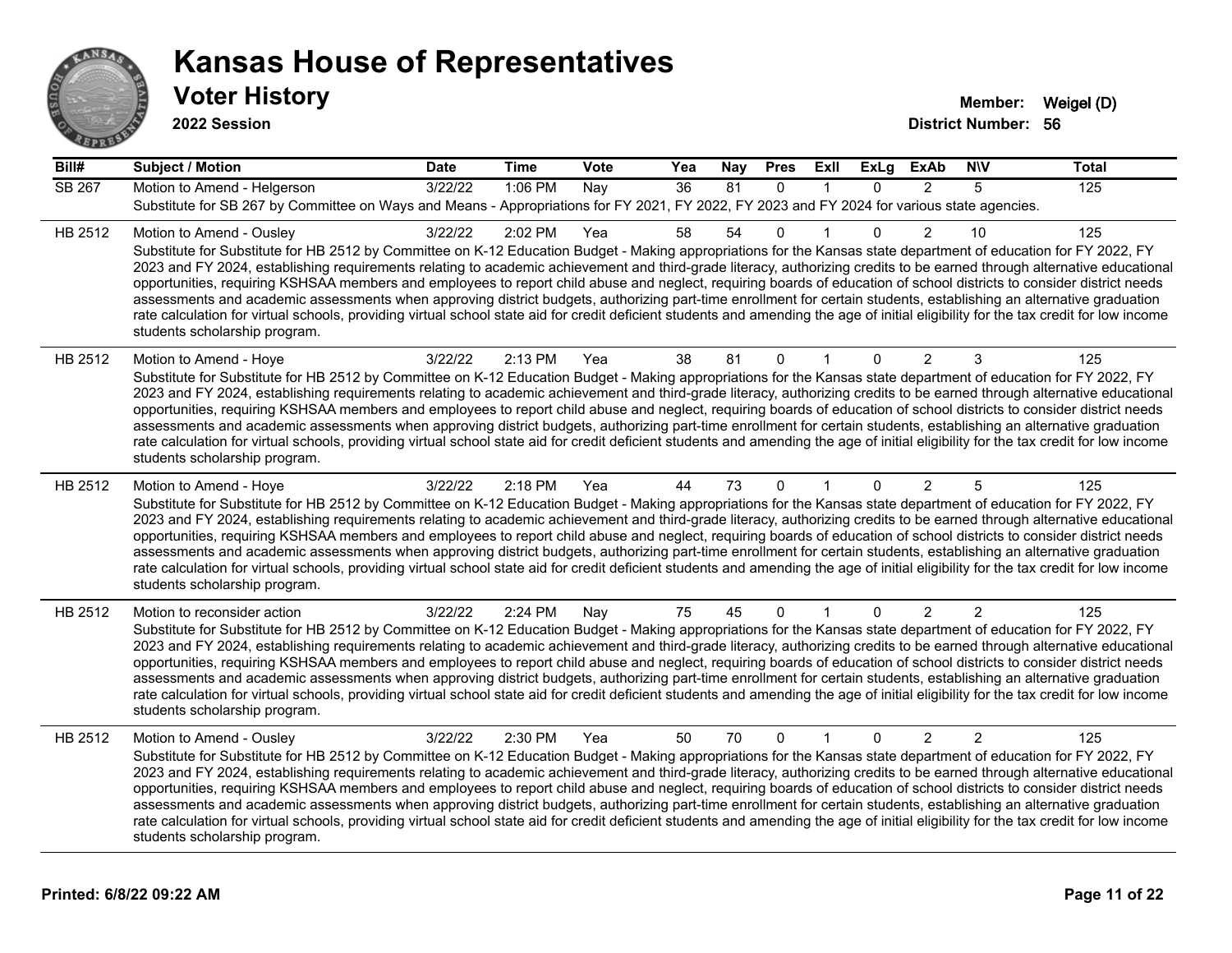

| Bill#   | <b>Subject / Motion</b>                                                                                                                                                                                                                                                                                                                                                                                                                                                                                                                                                                                                                                                                                                                                                                                                                                                                                                                             | <b>Date</b> | <b>Time</b> | Vote | Yea | Nay | <b>Pres</b> | <b>Exll</b>  | <b>ExLg</b> | <b>ExAb</b>    | <b>NIV</b>     | <b>Total</b>   |
|---------|-----------------------------------------------------------------------------------------------------------------------------------------------------------------------------------------------------------------------------------------------------------------------------------------------------------------------------------------------------------------------------------------------------------------------------------------------------------------------------------------------------------------------------------------------------------------------------------------------------------------------------------------------------------------------------------------------------------------------------------------------------------------------------------------------------------------------------------------------------------------------------------------------------------------------------------------------------|-------------|-------------|------|-----|-----|-------------|--------------|-------------|----------------|----------------|----------------|
| SB 267  | Motion to Amend - Helgerson<br>Substitute for SB 267 by Committee on Ways and Means - Appropriations for FY 2021, FY 2022, FY 2023 and FY 2024 for various state agencies.                                                                                                                                                                                                                                                                                                                                                                                                                                                                                                                                                                                                                                                                                                                                                                          | 3/22/22     | 1:06 PM     | Nay  | 36  | 81  | $\Omega$    | $\mathbf{1}$ | $\Omega$    | $\overline{2}$ | 5              | $\frac{1}{25}$ |
| HB 2512 | Motion to Amend - Ousley<br>Substitute for Substitute for HB 2512 by Committee on K-12 Education Budget - Making appropriations for the Kansas state department of education for FY 2022, FY<br>2023 and FY 2024, establishing requirements relating to academic achievement and third-grade literacy, authorizing credits to be earned through alternative educational<br>opportunities, requiring KSHSAA members and employees to report child abuse and neglect, requiring boards of education of school districts to consider district needs<br>assessments and academic assessments when approving district budgets, authorizing part-time enrollment for certain students, establishing an alternative graduation<br>rate calculation for virtual schools, providing virtual school state aid for credit deficient students and amending the age of initial eligibility for the tax credit for low income<br>students scholarship program.    | 3/22/22     | 2:02 PM     | Yea  | 58  | 54  | 0           |              | $\Omega$    | $\overline{2}$ | 10             | 125            |
| HB 2512 | Motion to Amend - Hoye<br>Substitute for Substitute for HB 2512 by Committee on K-12 Education Budget - Making appropriations for the Kansas state department of education for FY 2022, FY<br>2023 and FY 2024, establishing requirements relating to academic achievement and third-grade literacy, authorizing credits to be earned through alternative educational<br>opportunities, requiring KSHSAA members and employees to report child abuse and neglect, requiring boards of education of school districts to consider district needs<br>assessments and academic assessments when approving district budgets, authorizing part-time enrollment for certain students, establishing an alternative graduation<br>rate calculation for virtual schools, providing virtual school state aid for credit deficient students and amending the age of initial eligibility for the tax credit for low income<br>students scholarship program.      | 3/22/22     | 2:13 PM     | Yea  | 38  | 81  | 0           |              | 0           | $\overline{2}$ | 3              | 125            |
| HB 2512 | Motion to Amend - Hoye<br>Substitute for Substitute for HB 2512 by Committee on K-12 Education Budget - Making appropriations for the Kansas state department of education for FY 2022, FY<br>2023 and FY 2024, establishing requirements relating to academic achievement and third-grade literacy, authorizing credits to be earned through alternative educational<br>opportunities, requiring KSHSAA members and employees to report child abuse and neglect, requiring boards of education of school districts to consider district needs<br>assessments and academic assessments when approving district budgets, authorizing part-time enrollment for certain students, establishing an alternative graduation<br>rate calculation for virtual schools, providing virtual school state aid for credit deficient students and amending the age of initial eligibility for the tax credit for low income<br>students scholarship program.      | 3/22/22     | 2:18 PM     | Yea  | 44  | 73  | $\Omega$    |              | $\Omega$    | $\overline{2}$ | 5              | 125            |
| HB 2512 | Motion to reconsider action<br>Substitute for Substitute for HB 2512 by Committee on K-12 Education Budget - Making appropriations for the Kansas state department of education for FY 2022, FY<br>2023 and FY 2024, establishing requirements relating to academic achievement and third-grade literacy, authorizing credits to be earned through alternative educational<br>opportunities, requiring KSHSAA members and employees to report child abuse and neglect, requiring boards of education of school districts to consider district needs<br>assessments and academic assessments when approving district budgets, authorizing part-time enrollment for certain students, establishing an alternative graduation<br>rate calculation for virtual schools, providing virtual school state aid for credit deficient students and amending the age of initial eligibility for the tax credit for low income<br>students scholarship program. | 3/22/22     | 2:24 PM     | Nay  | 75  | 45  | 0           |              | 0           | $\overline{2}$ | $\overline{c}$ | 125            |
| HB 2512 | Motion to Amend - Ousley<br>Substitute for Substitute for HB 2512 by Committee on K-12 Education Budget - Making appropriations for the Kansas state department of education for FY 2022, FY<br>2023 and FY 2024, establishing requirements relating to academic achievement and third-grade literacy, authorizing credits to be earned through alternative educational<br>opportunities, requiring KSHSAA members and employees to report child abuse and neglect, requiring boards of education of school districts to consider district needs<br>assessments and academic assessments when approving district budgets, authorizing part-time enrollment for certain students, establishing an alternative graduation<br>rate calculation for virtual schools, providing virtual school state aid for credit deficient students and amending the age of initial eligibility for the tax credit for low income<br>students scholarship program.    | 3/22/22     | 2:30 PM     | Yea  | 50  | 70  | $\Omega$    | $\mathbf{1}$ | $\Omega$    | $\overline{2}$ | $\mathcal{P}$  | 125            |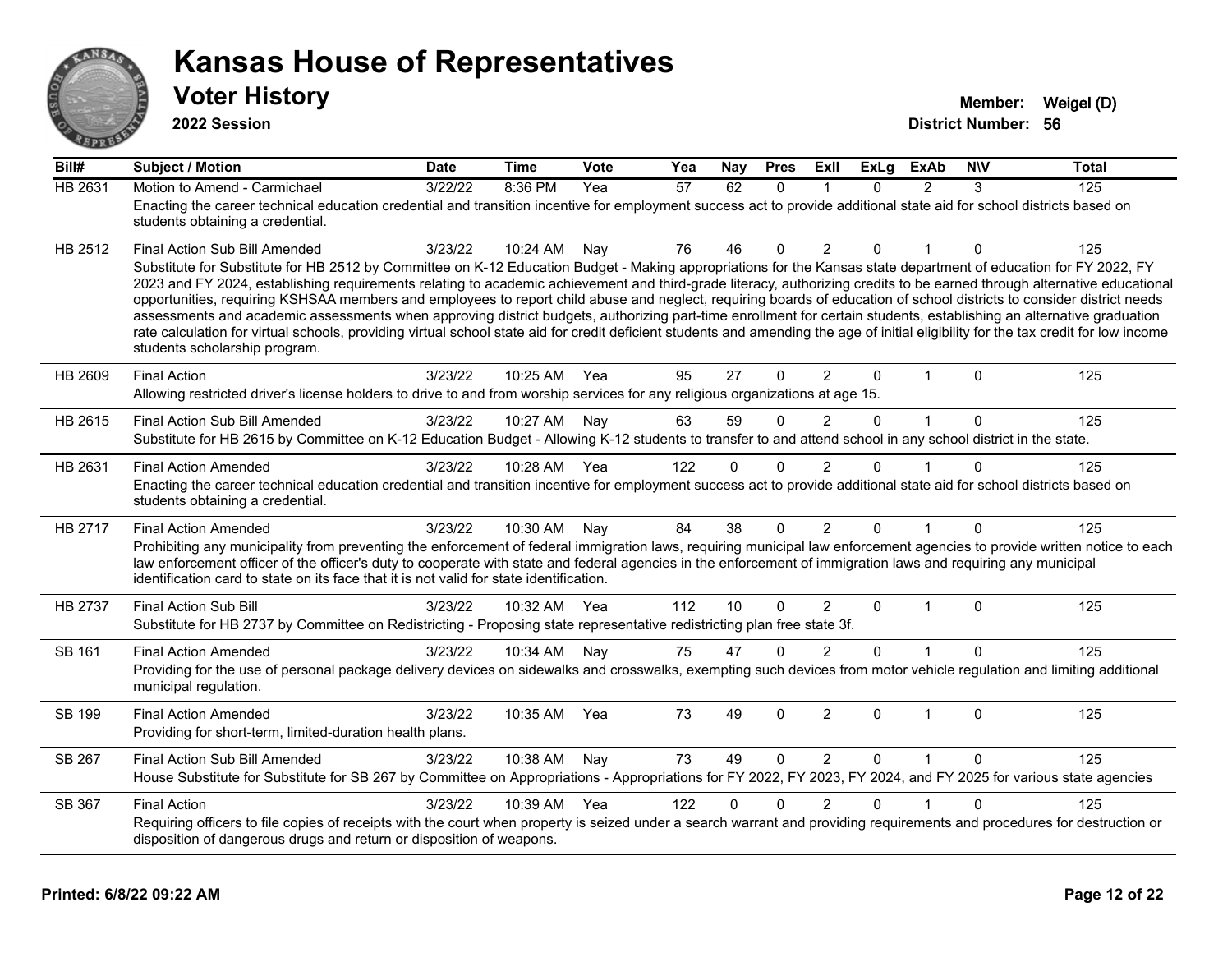

**2022 Session**

| Bill#   | <b>Subject / Motion</b>                                                                                                                                                                                                                                                                                                                                                                                                                                                                                                                                                                                                                                                                                                                                                                                                                                                                                                                               | Date    | <b>Time</b> | Vote | Yea | Nay      | <b>Pres</b>  | ExII           | <b>ExLg</b>  | <b>ExAb</b>    | <b>NIV</b>   | <b>Total</b> |
|---------|-------------------------------------------------------------------------------------------------------------------------------------------------------------------------------------------------------------------------------------------------------------------------------------------------------------------------------------------------------------------------------------------------------------------------------------------------------------------------------------------------------------------------------------------------------------------------------------------------------------------------------------------------------------------------------------------------------------------------------------------------------------------------------------------------------------------------------------------------------------------------------------------------------------------------------------------------------|---------|-------------|------|-----|----------|--------------|----------------|--------------|----------------|--------------|--------------|
| HB 2631 | Motion to Amend - Carmichael<br>Enacting the career technical education credential and transition incentive for employment success act to provide additional state aid for school districts based on<br>students obtaining a credential.                                                                                                                                                                                                                                                                                                                                                                                                                                                                                                                                                                                                                                                                                                              | 3/22/22 | 8:36 PM     | Yea  | 57  | 62       | $\mathbf{0}$ | -1             | $\Omega$     | $\overline{2}$ | 3            | 125          |
| HB 2512 | Final Action Sub Bill Amended<br>Substitute for Substitute for HB 2512 by Committee on K-12 Education Budget - Making appropriations for the Kansas state department of education for FY 2022, FY<br>2023 and FY 2024, establishing requirements relating to academic achievement and third-grade literacy, authorizing credits to be earned through alternative educational<br>opportunities, requiring KSHSAA members and employees to report child abuse and neglect, requiring boards of education of school districts to consider district needs<br>assessments and academic assessments when approving district budgets, authorizing part-time enrollment for certain students, establishing an alternative graduation<br>rate calculation for virtual schools, providing virtual school state aid for credit deficient students and amending the age of initial eligibility for the tax credit for low income<br>students scholarship program. | 3/23/22 | 10:24 AM    | Nay  | 76  | 46       | $\Omega$     | 2              | $\mathbf{0}$ |                | $\Omega$     | 125          |
| HB 2609 | <b>Final Action</b><br>Allowing restricted driver's license holders to drive to and from worship services for any religious organizations at age 15.                                                                                                                                                                                                                                                                                                                                                                                                                                                                                                                                                                                                                                                                                                                                                                                                  | 3/23/22 | 10:25 AM    | Yea  | 95  | 27       | $\Omega$     | 2              | $\mathbf{0}$ | 1              | $\Omega$     | 125          |
| HB 2615 | Final Action Sub Bill Amended<br>Substitute for HB 2615 by Committee on K-12 Education Budget - Allowing K-12 students to transfer to and attend school in any school district in the state.                                                                                                                                                                                                                                                                                                                                                                                                                                                                                                                                                                                                                                                                                                                                                          | 3/23/22 | 10:27 AM    | Nay  | 63  | 59       | $\Omega$     | 2              | $\mathbf{0}$ | $\mathbf{1}$   | $\mathbf{0}$ | 125          |
| HB 2631 | <b>Final Action Amended</b><br>Enacting the career technical education credential and transition incentive for employment success act to provide additional state aid for school districts based on<br>students obtaining a credential.                                                                                                                                                                                                                                                                                                                                                                                                                                                                                                                                                                                                                                                                                                               | 3/23/22 | 10:28 AM    | Yea  | 122 | 0        | $\Omega$     | 2              | O            |                | U            | 125          |
| HB 2717 | <b>Final Action Amended</b><br>Prohibiting any municipality from preventing the enforcement of federal immigration laws, requiring municipal law enforcement agencies to provide written notice to each<br>law enforcement officer of the officer's duty to cooperate with state and federal agencies in the enforcement of immigration laws and requiring any municipal<br>identification card to state on its face that it is not valid for state identification.                                                                                                                                                                                                                                                                                                                                                                                                                                                                                   | 3/23/22 | 10:30 AM    | Nay  | 84  | 38       | $\Omega$     | 2              | $\mathbf{0}$ |                | $\Omega$     | 125          |
| HB 2737 | Final Action Sub Bill<br>Substitute for HB 2737 by Committee on Redistricting - Proposing state representative redistricting plan free state 3f.                                                                                                                                                                                                                                                                                                                                                                                                                                                                                                                                                                                                                                                                                                                                                                                                      | 3/23/22 | 10:32 AM    | Yea  | 112 | 10       | $\Omega$     | $\overline{2}$ | $\mathbf{0}$ | $\mathbf{1}$   | $\Omega$     | 125          |
| SB 161  | <b>Final Action Amended</b><br>Providing for the use of personal package delivery devices on sidewalks and crosswalks, exempting such devices from motor vehicle regulation and limiting additional<br>municipal regulation.                                                                                                                                                                                                                                                                                                                                                                                                                                                                                                                                                                                                                                                                                                                          | 3/23/22 | 10:34 AM    | Nay  | 75  | 47       | $\Omega$     | 2              | $\Omega$     | $\mathbf{1}$   | $\Omega$     | 125          |
| SB 199  | <b>Final Action Amended</b><br>Providing for short-term, limited-duration health plans.                                                                                                                                                                                                                                                                                                                                                                                                                                                                                                                                                                                                                                                                                                                                                                                                                                                               | 3/23/22 | 10:35 AM    | Yea  | 73  | 49       | $\mathbf{0}$ | $\overline{2}$ | $\Omega$     | $\mathbf{1}$   | $\mathbf{0}$ | 125          |
| SB 267  | Final Action Sub Bill Amended<br>House Substitute for Substitute for SB 267 by Committee on Appropriations - Appropriations for FY 2022, FY 2023, FY 2024, and FY 2025 for various state agencies                                                                                                                                                                                                                                                                                                                                                                                                                                                                                                                                                                                                                                                                                                                                                     | 3/23/22 | 10:38 AM    | Nay  | 73  | 49       | $\mathbf{0}$ | $\overline{2}$ | $\Omega$     |                | $\Omega$     | 125          |
| SB 367  | <b>Final Action</b><br>Requiring officers to file copies of receipts with the court when property is seized under a search warrant and providing requirements and procedures for destruction or<br>disposition of dangerous drugs and return or disposition of weapons.                                                                                                                                                                                                                                                                                                                                                                                                                                                                                                                                                                                                                                                                               | 3/23/22 | 10:39 AM    | Yea  | 122 | $\Omega$ | $\Omega$     | $\mathfrak{p}$ | $\Omega$     |                | U            | 125          |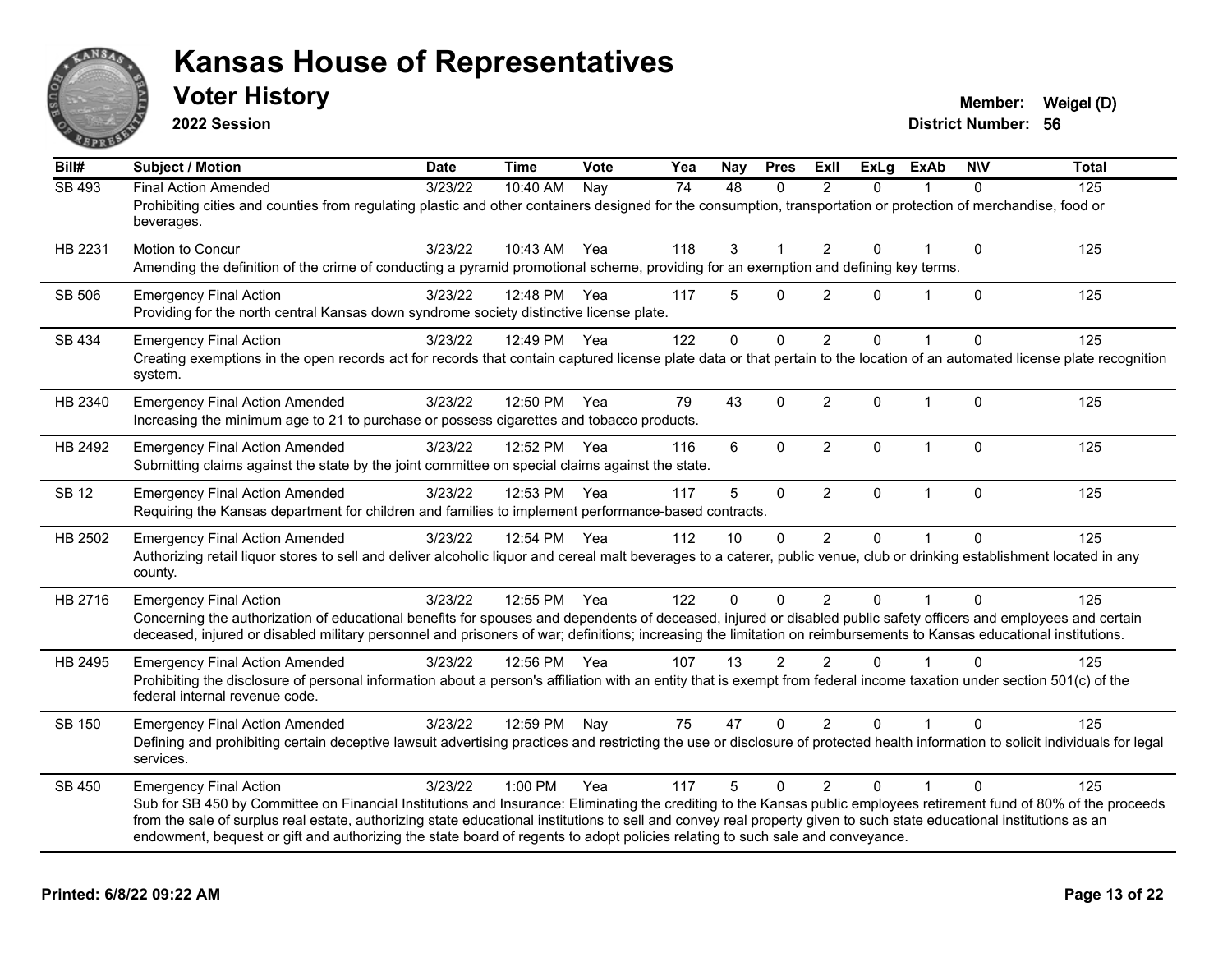

**2022 Session**

| Bill#         | <b>Subject / Motion</b>                                                                                                                                                                                                                                                                                                                                                                                                                                                                                        | <b>Date</b> | <b>Time</b>  | <b>Vote</b> | Yea             | Nay      | <b>Pres</b>  | Exll           | <b>ExLg</b>  | <b>ExAb</b>  | <b>NIV</b>   | <b>Total</b>     |
|---------------|----------------------------------------------------------------------------------------------------------------------------------------------------------------------------------------------------------------------------------------------------------------------------------------------------------------------------------------------------------------------------------------------------------------------------------------------------------------------------------------------------------------|-------------|--------------|-------------|-----------------|----------|--------------|----------------|--------------|--------------|--------------|------------------|
| <b>SB 493</b> | <b>Final Action Amended</b><br>Prohibiting cities and counties from regulating plastic and other containers designed for the consumption, transportation or protection of merchandise, food or<br>beverages.                                                                                                                                                                                                                                                                                                   | 3/23/22     | 10:40 AM     | Nay         | $\overline{74}$ | 48       | $\Omega$     | $\mathcal{P}$  | $\Omega$     |              | $\Omega$     | $\overline{125}$ |
| HB 2231       | Motion to Concur<br>Amending the definition of the crime of conducting a pyramid promotional scheme, providing for an exemption and defining key terms.                                                                                                                                                                                                                                                                                                                                                        | 3/23/22     | 10:43 AM     | Yea         | 118             | 3        | $\mathbf 1$  | $\overline{2}$ | $\Omega$     |              | $\mathbf{0}$ | 125              |
| SB 506        | <b>Emergency Final Action</b><br>Providing for the north central Kansas down syndrome society distinctive license plate.                                                                                                                                                                                                                                                                                                                                                                                       | 3/23/22     | 12:48 PM     | Yea         | 117             | 5        | $\Omega$     | $\overline{2}$ | 0            | 1            | $\mathbf{0}$ | 125              |
| SB 434        | <b>Emergency Final Action</b><br>Creating exemptions in the open records act for records that contain captured license plate data or that pertain to the location of an automated license plate recognition<br>system.                                                                                                                                                                                                                                                                                         | 3/23/22     | 12:49 PM     | Yea         | 122             | $\Omega$ | $\mathbf 0$  | $\overline{2}$ | $\Omega$     |              | 0            | 125              |
| HB 2340       | <b>Emergency Final Action Amended</b><br>Increasing the minimum age to 21 to purchase or possess cigarettes and tobacco products.                                                                                                                                                                                                                                                                                                                                                                              | 3/23/22     | 12:50 PM     | Yea         | 79              | 43       | $\mathbf 0$  | $\overline{2}$ | $\mathbf{0}$ | $\mathbf{1}$ | $\Omega$     | 125              |
| HB 2492       | <b>Emergency Final Action Amended</b><br>Submitting claims against the state by the joint committee on special claims against the state.                                                                                                                                                                                                                                                                                                                                                                       | 3/23/22     | 12:52 PM     | Yea         | 116             | 6        | $\mathbf 0$  | $\overline{2}$ | $\mathbf 0$  | $\mathbf 1$  | $\mathbf 0$  | 125              |
| <b>SB 12</b>  | <b>Emergency Final Action Amended</b><br>Requiring the Kansas department for children and families to implement performance-based contracts.                                                                                                                                                                                                                                                                                                                                                                   | 3/23/22     | 12:53 PM     | Yea         | 117             | 5        | $\mathbf 0$  | $\overline{2}$ | $\mathbf{0}$ | $\mathbf{1}$ | $\mathbf 0$  | 125              |
| HB 2502       | <b>Emergency Final Action Amended</b><br>Authorizing retail liquor stores to sell and deliver alcoholic liquor and cereal malt beverages to a caterer, public venue, club or drinking establishment located in any<br>county.                                                                                                                                                                                                                                                                                  | 3/23/22     | 12:54 PM Yea |             | 112             | 10       | $\Omega$     | $\overline{2}$ | 0            |              | $\Omega$     | 125              |
| HB 2716       | <b>Emergency Final Action</b><br>Concerning the authorization of educational benefits for spouses and dependents of deceased, injured or disabled public safety officers and employees and certain<br>deceased, injured or disabled military personnel and prisoners of war; definitions; increasing the limitation on reimbursements to Kansas educational institutions.                                                                                                                                      | 3/23/22     | 12:55 PM     | Yea         | 122             | $\Omega$ | $\Omega$     | $\overline{2}$ | $\Omega$     |              | $\Omega$     | 125              |
| HB 2495       | <b>Emergency Final Action Amended</b><br>Prohibiting the disclosure of personal information about a person's affiliation with an entity that is exempt from federal income taxation under section 501(c) of the<br>federal internal revenue code.                                                                                                                                                                                                                                                              | 3/23/22     | 12:56 PM Yea |             | 107             | 13       | 2            | $\overline{2}$ | $\Omega$     |              | $\Omega$     | 125              |
| SB 150        | <b>Emergency Final Action Amended</b><br>Defining and prohibiting certain deceptive lawsuit advertising practices and restricting the use or disclosure of protected health information to solicit individuals for legal<br>services.                                                                                                                                                                                                                                                                          | 3/23/22     | 12:59 PM     | Nay         | 75              | 47       | $\Omega$     | 2              | $\Omega$     |              | $\Omega$     | 125              |
| SB 450        | <b>Emergency Final Action</b><br>Sub for SB 450 by Committee on Financial Institutions and Insurance: Eliminating the crediting to the Kansas public employees retirement fund of 80% of the proceeds<br>from the sale of surplus real estate, authorizing state educational institutions to sell and convey real property given to such state educational institutions as an<br>endowment, bequest or gift and authorizing the state board of regents to adopt policies relating to such sale and conveyance. | 3/23/22     | 1:00 PM      | Yea         | 117             | 5        | $\mathbf{0}$ | 2              | $\Omega$     | 1            | $\Omega$     | 125              |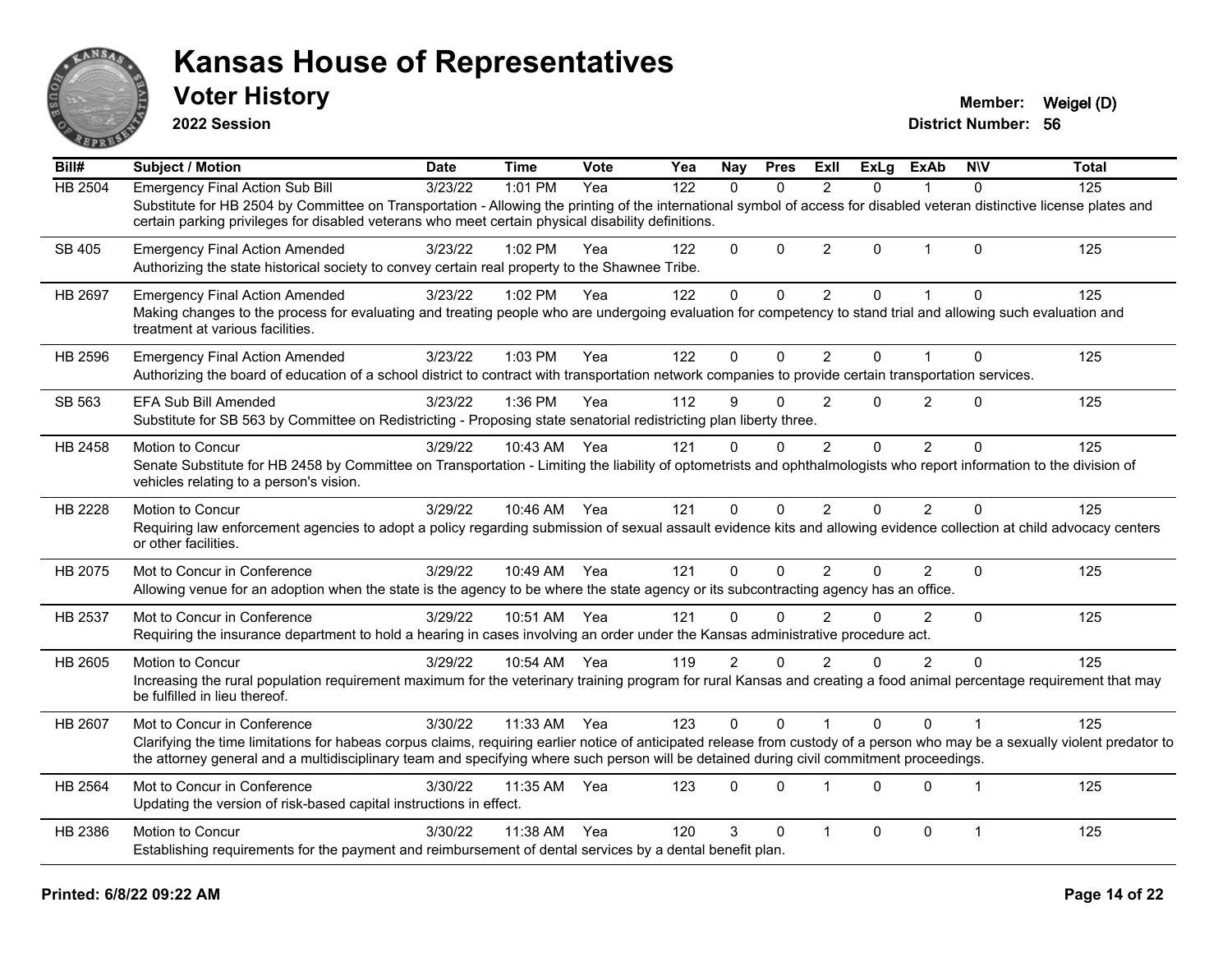

**2022 Session**

| Bill#          | <b>Subject / Motion</b>                                                                                                                                                                                                                                                                                                                                 | <b>Date</b> | <b>Time</b> | Vote | Yea | Nay            | <b>Pres</b>  | <b>ExII</b>             | <b>ExLg</b> | <b>ExAb</b>    | <b>NIV</b>   | <b>Total</b> |
|----------------|---------------------------------------------------------------------------------------------------------------------------------------------------------------------------------------------------------------------------------------------------------------------------------------------------------------------------------------------------------|-------------|-------------|------|-----|----------------|--------------|-------------------------|-------------|----------------|--------------|--------------|
| <b>HB 2504</b> | <b>Emergency Final Action Sub Bill</b><br>Substitute for HB 2504 by Committee on Transportation - Allowing the printing of the international symbol of access for disabled veteran distinctive license plates and<br>certain parking privileges for disabled veterans who meet certain physical disability definitions.                                 | 3/23/22     | 1:01 PM     | Yea  | 122 | $\Omega$       | $\Omega$     | $\overline{2}$          | $\Omega$    |                | $\Omega$     | 125          |
| SB 405         | <b>Emergency Final Action Amended</b><br>Authorizing the state historical society to convey certain real property to the Shawnee Tribe.                                                                                                                                                                                                                 | 3/23/22     | $1:02$ PM   | Yea  | 122 | $\Omega$       | $\Omega$     | $\overline{2}$          | $\Omega$    | $\mathbf{1}$   | $\Omega$     | 125          |
| HB 2697        | <b>Emergency Final Action Amended</b><br>Making changes to the process for evaluating and treating people who are undergoing evaluation for competency to stand trial and allowing such evaluation and<br>treatment at various facilities.                                                                                                              | 3/23/22     | 1:02 PM     | Yea  | 122 | $\mathbf 0$    | $\Omega$     | $\overline{2}$          | $\Omega$    | 1              | $\Omega$     | 125          |
| HB 2596        | <b>Emergency Final Action Amended</b><br>Authorizing the board of education of a school district to contract with transportation network companies to provide certain transportation services.                                                                                                                                                          | 3/23/22     | 1:03 PM     | Yea  | 122 | 0              | $\mathbf{0}$ | 2                       | 0           |                | $\Omega$     | 125          |
| SB 563         | <b>EFA Sub Bill Amended</b><br>Substitute for SB 563 by Committee on Redistricting - Proposing state senatorial redistricting plan liberty three.                                                                                                                                                                                                       | 3/23/22     | 1:36 PM     | Yea  | 112 | 9              | $\Omega$     | $\overline{2}$          | $\Omega$    | $\overline{2}$ | $\Omega$     | 125          |
| HB 2458        | Motion to Concur<br>Senate Substitute for HB 2458 by Committee on Transportation - Limiting the liability of optometrists and ophthalmologists who report information to the division of<br>vehicles relating to a person's vision.                                                                                                                     | 3/29/22     | 10:43 AM    | Yea  | 121 | 0              | $\Omega$     | $\mathfrak{p}$          | $\Omega$    | $\mathfrak{p}$ | $\Omega$     | 125          |
| HB 2228        | Motion to Concur<br>Requiring law enforcement agencies to adopt a policy regarding submission of sexual assault evidence kits and allowing evidence collection at child advocacy centers<br>or other facilities.                                                                                                                                        | 3/29/22     | 10:46 AM    | Yea  | 121 | $\Omega$       | $\mathbf{0}$ | $\overline{2}$          | $\Omega$    | $\overline{2}$ | $\Omega$     | 125          |
| HB 2075        | Mot to Concur in Conference<br>Allowing venue for an adoption when the state is the agency to be where the state agency or its subcontracting agency has an office.                                                                                                                                                                                     | 3/29/22     | 10:49 AM    | Yea  | 121 | $\Omega$       | $\mathbf{0}$ | 2                       | $\Omega$    | $\overline{2}$ | $\mathbf{0}$ | 125          |
| HB 2537        | Mot to Concur in Conference<br>Requiring the insurance department to hold a hearing in cases involving an order under the Kansas administrative procedure act.                                                                                                                                                                                          | 3/29/22     | 10:51 AM    | Yea  | 121 | $\Omega$       | $\Omega$     | $\mathfrak{p}$          | 0           | $\overline{2}$ | $\Omega$     | 125          |
| HB 2605        | Motion to Concur<br>Increasing the rural population requirement maximum for the veterinary training program for rural Kansas and creating a food animal percentage requirement that may<br>be fulfilled in lieu thereof.                                                                                                                                | 3/29/22     | 10:54 AM    | Yea  | 119 | $\overline{2}$ | $\Omega$     | $\overline{2}$          | 0           | $\overline{2}$ | $\Omega$     | 125          |
| HB 2607        | Mot to Concur in Conference<br>Clarifying the time limitations for habeas corpus claims, requiring earlier notice of anticipated release from custody of a person who may be a sexually violent predator to<br>the attorney general and a multidisciplinary team and specifying where such person will be detained during civil commitment proceedings. | 3/30/22     | 11:33 AM    | Yea  | 123 | $\Omega$       | $\Omega$     |                         | $\Omega$    | $\Omega$       |              | 125          |
| HB 2564        | Mot to Concur in Conference<br>Updating the version of risk-based capital instructions in effect.                                                                                                                                                                                                                                                       | 3/30/22     | 11:35 AM    | Yea  | 123 | $\Omega$       | $\mathbf 0$  | $\overline{\mathbf{1}}$ | $\Omega$    | $\mathbf 0$    | $\mathbf{1}$ | 125          |
| HB 2386        | Motion to Concur<br>Establishing requirements for the payment and reimbursement of dental services by a dental benefit plan.                                                                                                                                                                                                                            | 3/30/22     | 11:38 AM    | Yea  | 120 | 3              | $\mathbf 0$  | $\overline{1}$          | 0           | 0              | $\mathbf{1}$ | 125          |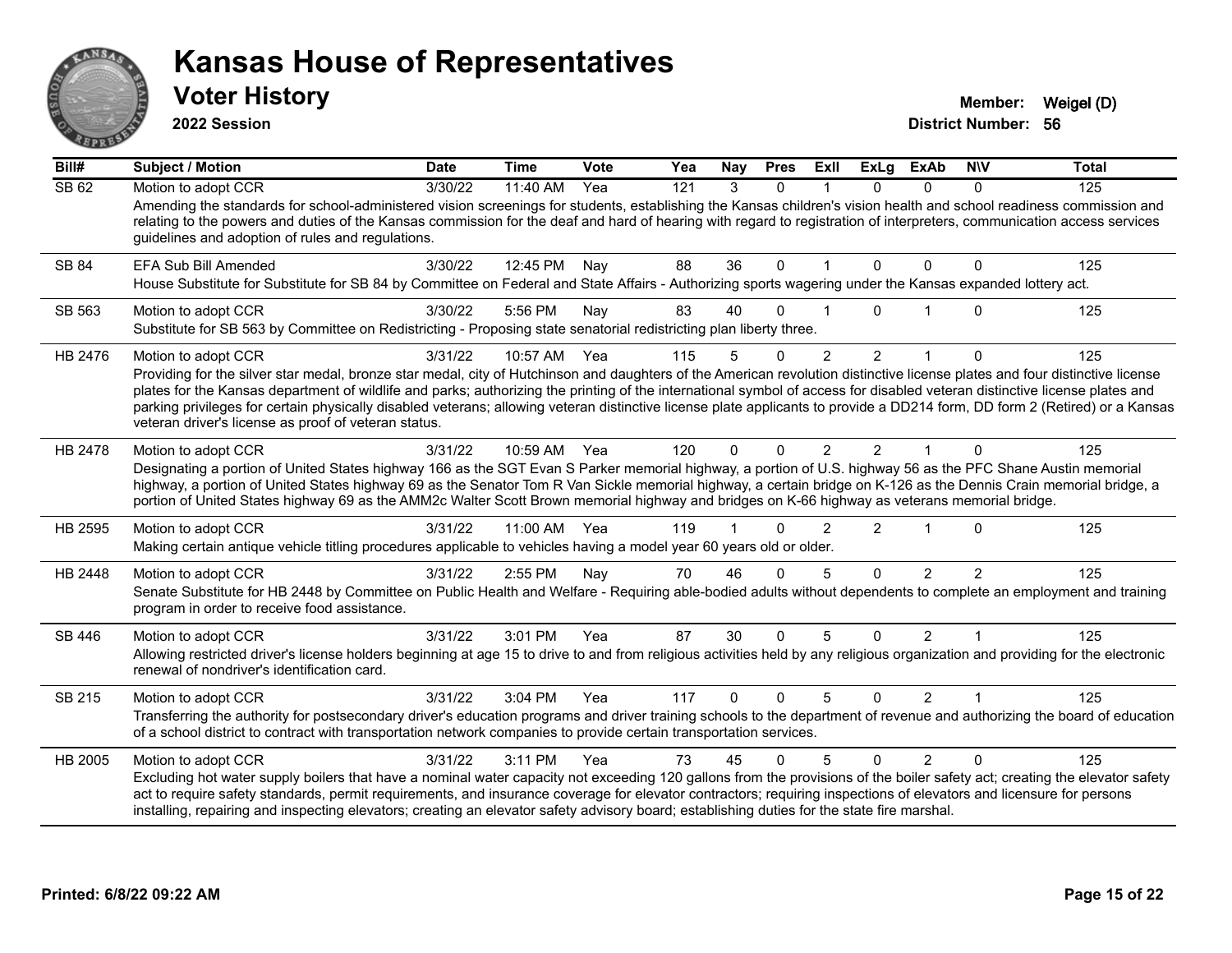

**2022 Session**

| Bill#        | <b>Subject / Motion</b>                                                                                                                                                                                                                                                                                                                                                                            | <b>Date</b> | <b>Time</b> | Vote | Yea | Nav          | <b>Pres</b> | ExII           | <b>ExLg</b>    | <b>ExAb</b>    | <b>NIV</b>    | <b>Total</b> |
|--------------|----------------------------------------------------------------------------------------------------------------------------------------------------------------------------------------------------------------------------------------------------------------------------------------------------------------------------------------------------------------------------------------------------|-------------|-------------|------|-----|--------------|-------------|----------------|----------------|----------------|---------------|--------------|
| SB 62        | Motion to adopt CCR                                                                                                                                                                                                                                                                                                                                                                                | 3/30/22     | 11:40 AM    | Yea  | 121 | 3            | $\Omega$    |                | 0              | 0              | 0             | 125          |
|              | Amending the standards for school-administered vision screenings for students, establishing the Kansas children's vision health and school readiness commission and<br>relating to the powers and duties of the Kansas commission for the deaf and hard of hearing with regard to registration of interpreters, communication access services<br>guidelines and adoption of rules and regulations. |             |             |      |     |              |             |                |                |                |               |              |
| <b>SB 84</b> | <b>EFA Sub Bill Amended</b>                                                                                                                                                                                                                                                                                                                                                                        | 3/30/22     | 12:45 PM    | Nay  | 88  | 36           | $\Omega$    |                | $\Omega$       | $\Omega$       | $\Omega$      | 125          |
|              | House Substitute for Substitute for SB 84 by Committee on Federal and State Affairs - Authorizing sports wagering under the Kansas expanded lottery act.                                                                                                                                                                                                                                           |             |             |      |     |              |             |                |                |                |               |              |
| SB 563       | Motion to adopt CCR                                                                                                                                                                                                                                                                                                                                                                                | 3/30/22     | 5:56 PM     | Nay  | 83  | 40           | $\Omega$    |                | $\Omega$       |                | $\mathbf{0}$  | 125          |
|              | Substitute for SB 563 by Committee on Redistricting - Proposing state senatorial redistricting plan liberty three.                                                                                                                                                                                                                                                                                 |             |             |      |     |              |             |                |                |                |               |              |
| HB 2476      | Motion to adopt CCR                                                                                                                                                                                                                                                                                                                                                                                | 3/31/22     | 10:57 AM    | Yea  | 115 | 5            | $\Omega$    | $\overline{2}$ | $\overline{2}$ |                | $\Omega$      | 125          |
|              | Providing for the silver star medal, bronze star medal, city of Hutchinson and daughters of the American revolution distinctive license plates and four distinctive license                                                                                                                                                                                                                        |             |             |      |     |              |             |                |                |                |               |              |
|              | plates for the Kansas department of wildlife and parks; authorizing the printing of the international symbol of access for disabled veteran distinctive license plates and<br>parking privileges for certain physically disabled veterans; allowing veteran distinctive license plate applicants to provide a DD214 form, DD form 2 (Retired) or a Kansas                                          |             |             |      |     |              |             |                |                |                |               |              |
|              | veteran driver's license as proof of veteran status.                                                                                                                                                                                                                                                                                                                                               |             |             |      |     |              |             |                |                |                |               |              |
| HB 2478      | Motion to adopt CCR                                                                                                                                                                                                                                                                                                                                                                                | 3/31/22     | 10:59 AM    | Yea  | 120 | $\Omega$     | $\Omega$    |                | 2              |                |               | 125          |
|              | Designating a portion of United States highway 166 as the SGT Evan S Parker memorial highway, a portion of U.S. highway 56 as the PFC Shane Austin memorial                                                                                                                                                                                                                                        |             |             |      |     |              |             |                |                |                |               |              |
|              | highway, a portion of United States highway 69 as the Senator Tom R Van Sickle memorial highway, a certain bridge on K-126 as the Dennis Crain memorial bridge, a<br>portion of United States highway 69 as the AMM2c Walter Scott Brown memorial highway and bridges on K-66 highway as veterans memorial bridge.                                                                                 |             |             |      |     |              |             |                |                |                |               |              |
|              |                                                                                                                                                                                                                                                                                                                                                                                                    |             |             |      |     |              |             |                |                |                |               |              |
| HB 2595      | Motion to adopt CCR                                                                                                                                                                                                                                                                                                                                                                                | 3/31/22     | 11:00 AM    | Yea  | 119 |              | ∩           |                | 2              |                | $\Omega$      | 125          |
|              | Making certain antique vehicle titling procedures applicable to vehicles having a model year 60 years old or older.                                                                                                                                                                                                                                                                                |             |             |      |     |              |             |                |                |                |               |              |
| HB 2448      | Motion to adopt CCR                                                                                                                                                                                                                                                                                                                                                                                | 3/31/22     | 2:55 PM     | Nay  | 70  | 46           | $\Omega$    | 5              | $\Omega$       | $\overline{2}$ | $\mathcal{P}$ | 125          |
|              | Senate Substitute for HB 2448 by Committee on Public Health and Welfare - Requiring able-bodied adults without dependents to complete an employment and training<br>program in order to receive food assistance.                                                                                                                                                                                   |             |             |      |     |              |             |                |                |                |               |              |
| SB 446       | Motion to adopt CCR                                                                                                                                                                                                                                                                                                                                                                                | 3/31/22     | 3:01 PM     | Yea  | 87  | 30           | $\Omega$    | 5              | $\Omega$       | 2              |               | 125          |
|              | Allowing restricted driver's license holders beginning at age 15 to drive to and from religious activities held by any religious organization and providing for the electronic<br>renewal of nondriver's identification card.                                                                                                                                                                      |             |             |      |     |              |             |                |                |                |               |              |
| SB 215       | Motion to adopt CCR                                                                                                                                                                                                                                                                                                                                                                                | 3/31/22     | 3:04 PM     | Yea  | 117 | $\mathbf{0}$ | $\Omega$    | 5              | $\Omega$       | 2              |               | 125          |
|              | Transferring the authority for postsecondary driver's education programs and driver training schools to the department of revenue and authorizing the board of education<br>of a school district to contract with transportation network companies to provide certain transportation services.                                                                                                     |             |             |      |     |              |             |                |                |                |               |              |
| HB 2005      | Motion to adopt CCR                                                                                                                                                                                                                                                                                                                                                                                | 3/31/22     | 3:11 PM     | Yea  | 73  | 45           | O           | 5              | $\Omega$       | 2              | $\Omega$      | 125          |
|              | Excluding hot water supply boilers that have a nominal water capacity not exceeding 120 gallons from the provisions of the boiler safety act; creating the elevator safety                                                                                                                                                                                                                         |             |             |      |     |              |             |                |                |                |               |              |
|              | act to require safety standards, permit requirements, and insurance coverage for elevator contractors; requiring inspections of elevators and licensure for persons<br>installing, repairing and inspecting elevators; creating an elevator safety advisory board; establishing duties for the state fire marshal.                                                                                 |             |             |      |     |              |             |                |                |                |               |              |
|              |                                                                                                                                                                                                                                                                                                                                                                                                    |             |             |      |     |              |             |                |                |                |               |              |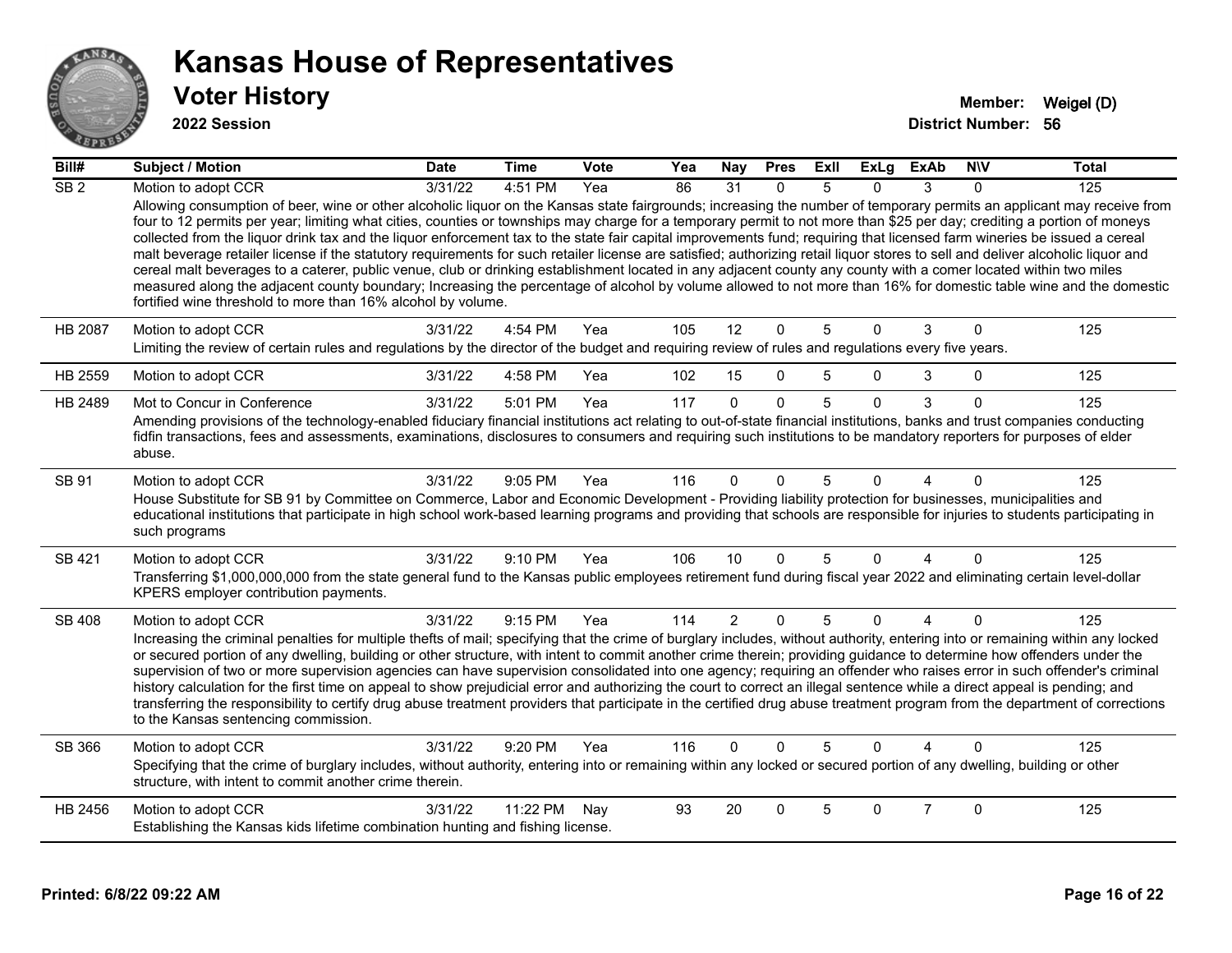

| Bill#            | <b>Subject / Motion</b>                                                                                                                                                                                                                                                                                                                                                                                                                                                                                                                                                                                                                                                                                                                                                                                                                                                                                                                                                                                                                                                                                                                          | <b>Date</b> | <b>Time</b> | Vote | Yea | Nay            | <b>Pres</b>  | ExIl           | <b>ExLg</b> | <b>ExAb</b>    | <b>NIV</b>   | <b>Total</b> |
|------------------|--------------------------------------------------------------------------------------------------------------------------------------------------------------------------------------------------------------------------------------------------------------------------------------------------------------------------------------------------------------------------------------------------------------------------------------------------------------------------------------------------------------------------------------------------------------------------------------------------------------------------------------------------------------------------------------------------------------------------------------------------------------------------------------------------------------------------------------------------------------------------------------------------------------------------------------------------------------------------------------------------------------------------------------------------------------------------------------------------------------------------------------------------|-------------|-------------|------|-----|----------------|--------------|----------------|-------------|----------------|--------------|--------------|
| $\overline{SB2}$ | Motion to adopt CCR<br>Allowing consumption of beer, wine or other alcoholic liquor on the Kansas state fairgrounds; increasing the number of temporary permits an applicant may receive from<br>four to 12 permits per year; limiting what cities, counties or townships may charge for a temporary permit to not more than \$25 per day; crediting a portion of moneys<br>collected from the liquor drink tax and the liquor enforcement tax to the state fair capital improvements fund; requiring that licensed farm wineries be issued a cereal<br>malt beverage retailer license if the statutory requirements for such retailer license are satisfied; authorizing retail liquor stores to sell and deliver alcoholic liquor and<br>cereal malt beverages to a caterer, public venue, club or drinking establishment located in any adjacent county any county with a comer located within two miles<br>measured along the adjacent county boundary; Increasing the percentage of alcohol by volume allowed to not more than 16% for domestic table wine and the domestic<br>fortified wine threshold to more than 16% alcohol by volume. | 3/31/22     | 4:51 PM     | Yea  | 86  | 31             | $\Omega$     | .5             | $\Omega$    | 3              | 0            | 125          |
| <b>HB 2087</b>   | Motion to adopt CCR<br>Limiting the review of certain rules and regulations by the director of the budget and requiring review of rules and regulations every five years.                                                                                                                                                                                                                                                                                                                                                                                                                                                                                                                                                                                                                                                                                                                                                                                                                                                                                                                                                                        | 3/31/22     | 4:54 PM     | Yea  | 105 | 12             | $\mathbf 0$  | 5              | $\Omega$    | 3              | $\mathbf 0$  | 125          |
| HB 2559          | Motion to adopt CCR                                                                                                                                                                                                                                                                                                                                                                                                                                                                                                                                                                                                                                                                                                                                                                                                                                                                                                                                                                                                                                                                                                                              | 3/31/22     | 4:58 PM     | Yea  | 102 | 15             | $\mathbf{0}$ | 5              | 0           | 3              | 0            | 125          |
| HB 2489          | Mot to Concur in Conference<br>Amending provisions of the technology-enabled fiduciary financial institutions act relating to out-of-state financial institutions, banks and trust companies conducting<br>fidfin transactions, fees and assessments, examinations, disclosures to consumers and requiring such institutions to be mandatory reporters for purposes of elder<br>abuse.                                                                                                                                                                                                                                                                                                                                                                                                                                                                                                                                                                                                                                                                                                                                                           | 3/31/22     | 5:01 PM     | Yea  | 117 | $\Omega$       | $\Omega$     | $\overline{5}$ | $\Omega$    | 3              | $\Omega$     | 125          |
| SB 91            | Motion to adopt CCR<br>House Substitute for SB 91 by Committee on Commerce, Labor and Economic Development - Providing liability protection for businesses, municipalities and<br>educational institutions that participate in high school work-based learning programs and providing that schools are responsible for injuries to students participating in<br>such programs                                                                                                                                                                                                                                                                                                                                                                                                                                                                                                                                                                                                                                                                                                                                                                    | 3/31/22     | $9:05$ PM   | Yea  | 116 | $\Omega$       | <sup>0</sup> | 5              | n           |                | $\Omega$     | 125          |
| SB 421           | Motion to adopt CCR<br>Transferring \$1,000,000,000 from the state general fund to the Kansas public employees retirement fund during fiscal year 2022 and eliminating certain level-dollar<br>KPERS employer contribution payments.                                                                                                                                                                                                                                                                                                                                                                                                                                                                                                                                                                                                                                                                                                                                                                                                                                                                                                             | 3/31/22     | 9:10 PM     | Yea  | 106 | 10             | $\Omega$     | 5              | $\Omega$    | $\overline{A}$ | $\mathbf{0}$ | 125          |
| <b>SB 408</b>    | Motion to adopt CCR<br>Increasing the criminal penalties for multiple thefts of mail; specifying that the crime of burglary includes, without authority, entering into or remaining within any locked<br>or secured portion of any dwelling, building or other structure, with intent to commit another crime therein; providing guidance to determine how offenders under the<br>supervision of two or more supervision agencies can have supervision consolidated into one agency; requiring an offender who raises error in such offender's criminal<br>history calculation for the first time on appeal to show prejudicial error and authorizing the court to correct an illegal sentence while a direct appeal is pending; and<br>transferring the responsibility to certify drug abuse treatment providers that participate in the certified drug abuse treatment program from the department of corrections<br>to the Kansas sentencing commission.                                                                                                                                                                                      | 3/31/22     | 9:15 PM     | Yea  | 114 | $\overline{2}$ | $\Omega$     | 5              | $\Omega$    | $\overline{4}$ | $\Omega$     | 125          |
| SB 366           | Motion to adopt CCR<br>Specifying that the crime of burglary includes, without authority, entering into or remaining within any locked or secured portion of any dwelling, building or other<br>structure, with intent to commit another crime therein.                                                                                                                                                                                                                                                                                                                                                                                                                                                                                                                                                                                                                                                                                                                                                                                                                                                                                          | 3/31/22     | $9:20$ PM   | Yea  | 116 | $\Omega$       | $\Omega$     | 5              | 0           | Λ              | $\Omega$     | 125          |
| HB 2456          | Motion to adopt CCR<br>Establishing the Kansas kids lifetime combination hunting and fishing license.                                                                                                                                                                                                                                                                                                                                                                                                                                                                                                                                                                                                                                                                                                                                                                                                                                                                                                                                                                                                                                            | 3/31/22     | 11:22 PM    | Nav  | 93  | 20             | $\Omega$     | 5              | 0           | $\overline{7}$ | $\Omega$     | 125          |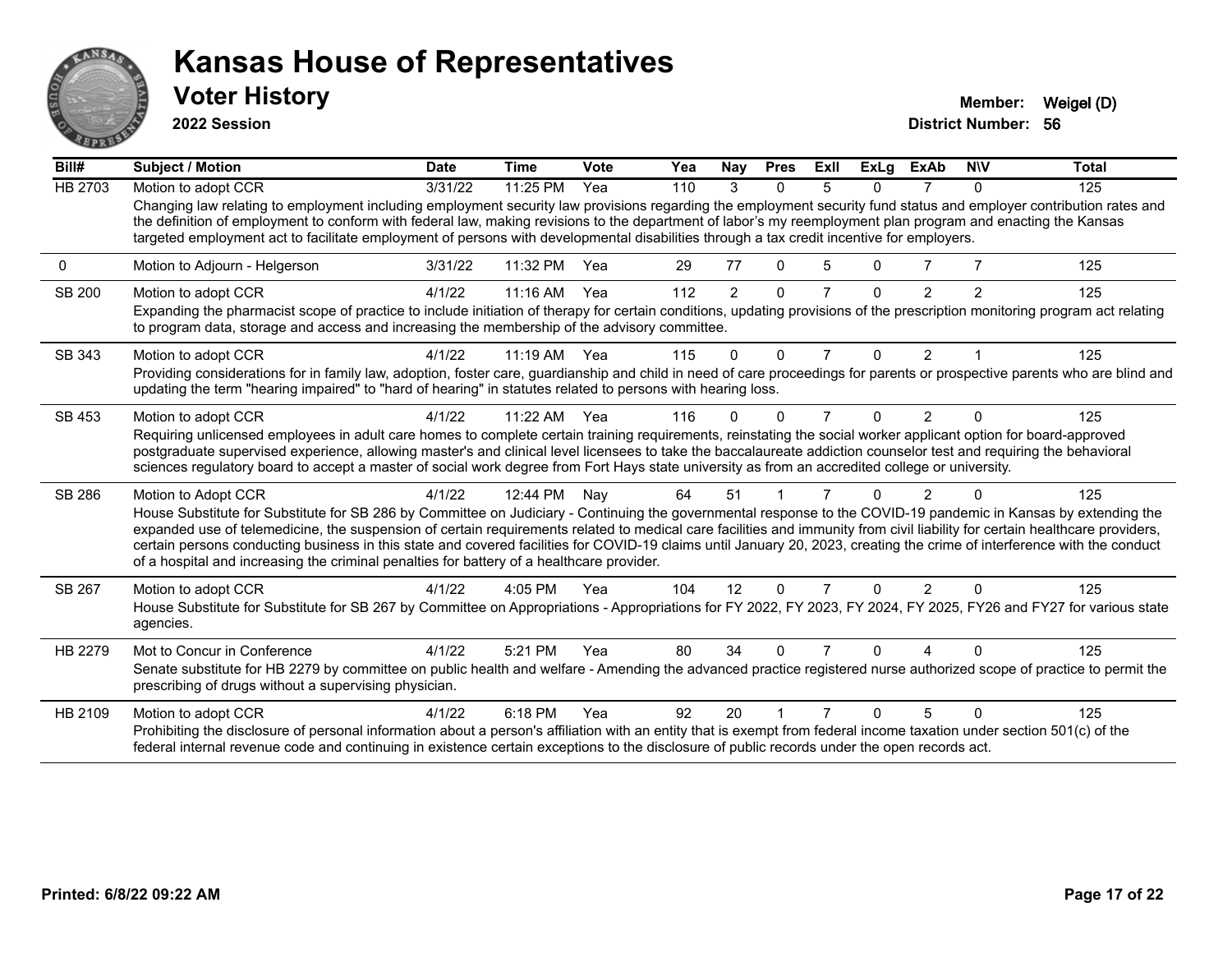

**2022 Session**

| Bill#         | <b>Subject / Motion</b>                                                                                                                                                                                                                                                                                                                                                                                                                                                                                                                                                                                                 | <b>Date</b> | <b>Time</b>  | Vote | Yea | Nay      | <b>Pres</b>  | ExII           | <b>ExLa</b> | <b>ExAb</b>    | <b>NIV</b>     | <b>Total</b> |
|---------------|-------------------------------------------------------------------------------------------------------------------------------------------------------------------------------------------------------------------------------------------------------------------------------------------------------------------------------------------------------------------------------------------------------------------------------------------------------------------------------------------------------------------------------------------------------------------------------------------------------------------------|-------------|--------------|------|-----|----------|--------------|----------------|-------------|----------------|----------------|--------------|
| HB 2703       | Motion to adopt CCR                                                                                                                                                                                                                                                                                                                                                                                                                                                                                                                                                                                                     | 3/31/22     | 11:25 PM     | Yea  | 110 | 3        | 0            | 5              | 0           |                | <sup>n</sup>   | 125          |
|               | Changing law relating to employment including employment security law provisions regarding the employment security fund status and employer contribution rates and<br>the definition of employment to conform with federal law, making revisions to the department of labor's my reemployment plan program and enacting the Kansas<br>targeted employment act to facilitate employment of persons with developmental disabilities through a tax credit incentive for employers.                                                                                                                                         |             |              |      |     |          |              |                |             |                |                |              |
| 0             | Motion to Adjourn - Helgerson                                                                                                                                                                                                                                                                                                                                                                                                                                                                                                                                                                                           | 3/31/22     | 11:32 PM     | Yea  | 29  | 77       | $\Omega$     |                | $\Omega$    | 7              |                | 125          |
| <b>SB 200</b> | Motion to adopt CCR<br>Expanding the pharmacist scope of practice to include initiation of therapy for certain conditions, updating provisions of the prescription monitoring program act relating<br>to program data, storage and access and increasing the membership of the advisory committee.                                                                                                                                                                                                                                                                                                                      | 4/1/22      | 11:16 AM     | Yea  | 112 | 2        | $\Omega$     |                | $\Omega$    | 2              | $\mathfrak{p}$ | 125          |
| SB 343        | Motion to adopt CCR                                                                                                                                                                                                                                                                                                                                                                                                                                                                                                                                                                                                     | 4/1/22      | 11:19 AM Yea |      | 115 | $\Omega$ | $\Omega$     | 7              | $\Omega$    | 2              |                | 125          |
|               | Providing considerations for in family law, adoption, foster care, guardianship and child in need of care proceedings for parents or prospective parents who are blind and<br>updating the term "hearing impaired" to "hard of hearing" in statutes related to persons with hearing loss.                                                                                                                                                                                                                                                                                                                               |             |              |      |     |          |              |                |             |                |                |              |
| SB 453        | Motion to adopt CCR                                                                                                                                                                                                                                                                                                                                                                                                                                                                                                                                                                                                     | 4/1/22      | 11:22 AM     | Yea  | 116 | ŋ        | <sup>n</sup> |                | $\Omega$    | $\overline{2}$ |                | 125          |
|               | Requiring unlicensed employees in adult care homes to complete certain training requirements, reinstating the social worker applicant option for board-approved<br>postgraduate supervised experience, allowing master's and clinical level licensees to take the baccalaureate addiction counselor test and requiring the behavioral<br>sciences regulatory board to accept a master of social work degree from Fort Hays state university as from an accredited college or university.                                                                                                                                |             |              |      |     |          |              |                |             |                |                |              |
| SB 286        | Motion to Adopt CCR                                                                                                                                                                                                                                                                                                                                                                                                                                                                                                                                                                                                     | 4/1/22      | 12:44 PM     | Nay  | 64  | 51       |              |                | n           | $\mathfrak{p}$ |                | 125          |
|               | House Substitute for Substitute for SB 286 by Committee on Judiciary - Continuing the governmental response to the COVID-19 pandemic in Kansas by extending the<br>expanded use of telemedicine, the suspension of certain requirements related to medical care facilities and immunity from civil liability for certain healthcare providers,<br>certain persons conducting business in this state and covered facilities for COVID-19 claims until January 20, 2023, creating the crime of interference with the conduct<br>of a hospital and increasing the criminal penalties for battery of a healthcare provider. |             |              |      |     |          |              |                |             |                |                |              |
| SB 267        | Motion to adopt CCR                                                                                                                                                                                                                                                                                                                                                                                                                                                                                                                                                                                                     | 4/1/22      | $4:05$ PM    | Yea  | 104 | 12       | $\Omega$     |                | 0           | $\overline{2}$ |                | 125          |
|               | House Substitute for Substitute for SB 267 by Committee on Appropriations - Appropriations for FY 2022, FY 2023, FY 2024, FY 2025, FY26 and FY27 for various state<br>agencies.                                                                                                                                                                                                                                                                                                                                                                                                                                         |             |              |      |     |          |              |                |             |                |                |              |
| HB 2279       | Mot to Concur in Conference                                                                                                                                                                                                                                                                                                                                                                                                                                                                                                                                                                                             | 4/1/22      | 5:21 PM      | Yea  | 80  | 34       | n            |                | $\Omega$    | Δ              |                | 125          |
|               | Senate substitute for HB 2279 by committee on public health and welfare - Amending the advanced practice registered nurse authorized scope of practice to permit the<br>prescribing of drugs without a supervising physician.                                                                                                                                                                                                                                                                                                                                                                                           |             |              |      |     |          |              |                |             |                |                |              |
| HB 2109       | Motion to adopt CCR                                                                                                                                                                                                                                                                                                                                                                                                                                                                                                                                                                                                     | 4/1/22      | 6:18 PM      | Yea  | 92  | 20       |              | $\overline{7}$ | $\Omega$    | 5              | $\Omega$       | 125          |
|               | Prohibiting the disclosure of personal information about a person's affiliation with an entity that is exempt from federal income taxation under section 501(c) of the<br>federal internal revenue code and continuing in existence certain exceptions to the disclosure of public records under the open records act.                                                                                                                                                                                                                                                                                                  |             |              |      |     |          |              |                |             |                |                |              |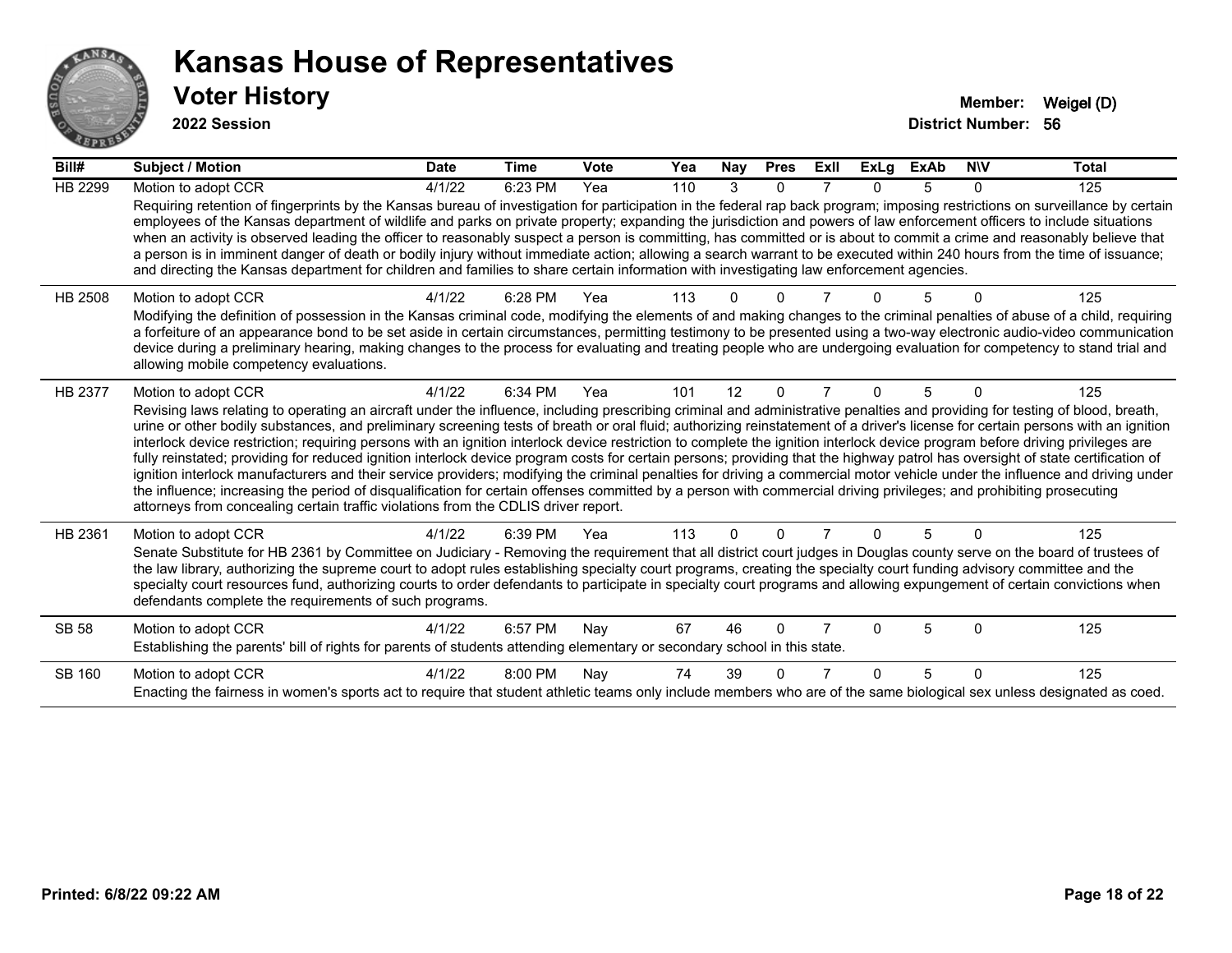

| Bill#          | Subject / Motion                                                                                                                                                                                                                                                                                                                                                                                                                                                                                                                                                                                                                                                                                                                                                                                                                                                                                                                                                                                                                                                                                                                                                                                      | <b>Date</b> | <b>Time</b> | Vote | Yea | Nay      | <b>Pres</b> | ExII | <b>ExLg</b>  | <b>ExAb</b> | <b>NIV</b> | <b>Total</b> |
|----------------|-------------------------------------------------------------------------------------------------------------------------------------------------------------------------------------------------------------------------------------------------------------------------------------------------------------------------------------------------------------------------------------------------------------------------------------------------------------------------------------------------------------------------------------------------------------------------------------------------------------------------------------------------------------------------------------------------------------------------------------------------------------------------------------------------------------------------------------------------------------------------------------------------------------------------------------------------------------------------------------------------------------------------------------------------------------------------------------------------------------------------------------------------------------------------------------------------------|-------------|-------------|------|-----|----------|-------------|------|--------------|-------------|------------|--------------|
| <b>HB 2299</b> | Motion to adopt CCR                                                                                                                                                                                                                                                                                                                                                                                                                                                                                                                                                                                                                                                                                                                                                                                                                                                                                                                                                                                                                                                                                                                                                                                   | 4/1/22      | 6:23 PM     | Yea  | 110 | 3        | 0           |      |              | 5           | 0          | 125          |
|                | Requiring retention of fingerprints by the Kansas bureau of investigation for participation in the federal rap back program; imposing restrictions on surveillance by certain<br>employees of the Kansas department of wildlife and parks on private property; expanding the jurisdiction and powers of law enforcement officers to include situations<br>when an activity is observed leading the officer to reasonably suspect a person is committing, has committed or is about to commit a crime and reasonably believe that<br>a person is in imminent danger of death or bodily injury without immediate action; allowing a search warrant to be executed within 240 hours from the time of issuance;<br>and directing the Kansas department for children and families to share certain information with investigating law enforcement agencies.                                                                                                                                                                                                                                                                                                                                                |             |             |      |     |          |             |      |              |             |            |              |
| HB 2508        | Motion to adopt CCR<br>Modifying the definition of possession in the Kansas criminal code, modifying the elements of and making changes to the criminal penalties of abuse of a child, requiring<br>a forfeiture of an appearance bond to be set aside in certain circumstances, permitting testimony to be presented using a two-way electronic audio-video communication<br>device during a preliminary hearing, making changes to the process for evaluating and treating people who are undergoing evaluation for competency to stand trial and<br>allowing mobile competency evaluations.                                                                                                                                                                                                                                                                                                                                                                                                                                                                                                                                                                                                        | 4/1/22      | 6:28 PM     | Yea  | 113 |          |             |      |              |             |            | 125          |
| HB 2377        | Motion to adopt CCR<br>Revising laws relating to operating an aircraft under the influence, including prescribing criminal and administrative penalties and providing for testing of blood, breath,<br>urine or other bodily substances, and preliminary screening tests of breath or oral fluid; authorizing reinstatement of a driver's license for certain persons with an ignition<br>interlock device restriction; requiring persons with an ignition interlock device restriction to complete the ignition interlock device program before driving privileges are<br>fully reinstated; providing for reduced ignition interlock device program costs for certain persons; providing that the highway patrol has oversight of state certification of<br>ignition interlock manufacturers and their service providers; modifying the criminal penalties for driving a commercial motor vehicle under the influence and driving under<br>the influence; increasing the period of disqualification for certain offenses committed by a person with commercial driving privileges; and prohibiting prosecuting<br>attorneys from concealing certain traffic violations from the CDLIS driver report. | 4/1/22      | 6:34 PM     | Yea  | 101 | 12       | $\Omega$    | 7    | 0            | 5           | $\Omega$   | 125          |
| HB 2361        | Motion to adopt CCR<br>Senate Substitute for HB 2361 by Committee on Judiciary - Removing the requirement that all district court judges in Douglas county serve on the board of trustees of<br>the law library, authorizing the supreme court to adopt rules establishing specialty court programs, creating the specialty court funding advisory committee and the<br>specialty court resources fund, authorizing courts to order defendants to participate in specialty court programs and allowing expungement of certain convictions when<br>defendants complete the requirements of such programs.                                                                                                                                                                                                                                                                                                                                                                                                                                                                                                                                                                                              | 4/1/22      | 6:39 PM     | Yea  | 113 | $\Omega$ | 0           |      | 0            | 5           | $\Omega$   | 125          |
| <b>SB 58</b>   | Motion to adopt CCR<br>Establishing the parents' bill of rights for parents of students attending elementary or secondary school in this state.                                                                                                                                                                                                                                                                                                                                                                                                                                                                                                                                                                                                                                                                                                                                                                                                                                                                                                                                                                                                                                                       | 4/1/22      | 6:57 PM     | Nay  | 67  | 46       | $\Omega$    |      | U            | 5           | $\Omega$   | 125          |
| SB 160         | Motion to adopt CCR<br>Enacting the fairness in women's sports act to require that student athletic teams only include members who are of the same biological sex unless designated as coed.                                                                                                                                                                                                                                                                                                                                                                                                                                                                                                                                                                                                                                                                                                                                                                                                                                                                                                                                                                                                          | 4/1/22      | 8:00 PM     | Nay  | 74  | 39       | $\Omega$    |      | <sup>0</sup> | 5           | $\Omega$   | 125          |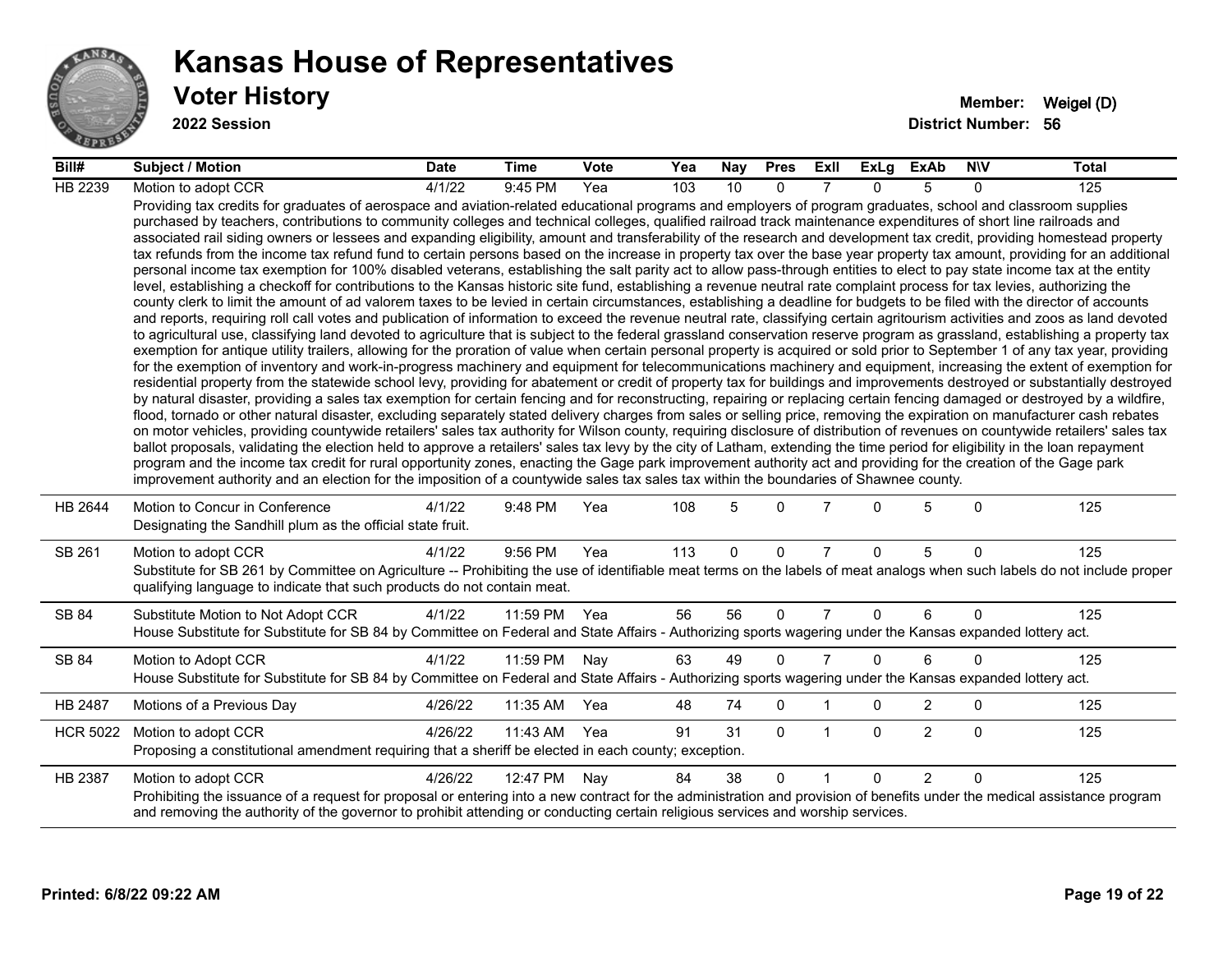

#### **Voter History Member:** Weigel (D) **Kansas House of Representatives**

| Bill#           | <b>Subject / Motion</b>                                                                                                                                                                                                                                                                                                                                                                                                                                                                                                                                                                                                                                                                                                                                                                                                                                                                                                                                                                                                                                                                                                                                                                                                                                                                                                                                                                                                                                                                                                                                                                                                                                                                                                                                                                                                                                                                                                                                                                                                                                                                                                                                                                                                                                                                                                                                                                                                                                                                                                                                                                                                                                                                                                                                                                                                                                                                                                                                                                                                                                                                                                                                                     | <b>Date</b> | Time         | <b>Vote</b> | Yea | Nay | <b>Pres</b> | ExII           | ExLg         | ExAb           | <b>NIV</b>   | Total |
|-----------------|-----------------------------------------------------------------------------------------------------------------------------------------------------------------------------------------------------------------------------------------------------------------------------------------------------------------------------------------------------------------------------------------------------------------------------------------------------------------------------------------------------------------------------------------------------------------------------------------------------------------------------------------------------------------------------------------------------------------------------------------------------------------------------------------------------------------------------------------------------------------------------------------------------------------------------------------------------------------------------------------------------------------------------------------------------------------------------------------------------------------------------------------------------------------------------------------------------------------------------------------------------------------------------------------------------------------------------------------------------------------------------------------------------------------------------------------------------------------------------------------------------------------------------------------------------------------------------------------------------------------------------------------------------------------------------------------------------------------------------------------------------------------------------------------------------------------------------------------------------------------------------------------------------------------------------------------------------------------------------------------------------------------------------------------------------------------------------------------------------------------------------------------------------------------------------------------------------------------------------------------------------------------------------------------------------------------------------------------------------------------------------------------------------------------------------------------------------------------------------------------------------------------------------------------------------------------------------------------------------------------------------------------------------------------------------------------------------------------------------------------------------------------------------------------------------------------------------------------------------------------------------------------------------------------------------------------------------------------------------------------------------------------------------------------------------------------------------------------------------------------------------------------------------------------------------|-------------|--------------|-------------|-----|-----|-------------|----------------|--------------|----------------|--------------|-------|
| HB 2239         | Motion to adopt CCR                                                                                                                                                                                                                                                                                                                                                                                                                                                                                                                                                                                                                                                                                                                                                                                                                                                                                                                                                                                                                                                                                                                                                                                                                                                                                                                                                                                                                                                                                                                                                                                                                                                                                                                                                                                                                                                                                                                                                                                                                                                                                                                                                                                                                                                                                                                                                                                                                                                                                                                                                                                                                                                                                                                                                                                                                                                                                                                                                                                                                                                                                                                                                         | 4/1/22      | 9:45 PM      | Yea         | 103 | 10  | $\Omega$    |                | $\Omega$     | 5              | $\Omega$     | 125   |
|                 | Providing tax credits for graduates of aerospace and aviation-related educational programs and employers of program graduates, school and classroom supplies<br>purchased by teachers, contributions to community colleges and technical colleges, qualified railroad track maintenance expenditures of short line railroads and<br>associated rail siding owners or lessees and expanding eligibility, amount and transferability of the research and development tax credit, providing homestead property<br>tax refunds from the income tax refund fund to certain persons based on the increase in property tax over the base year property tax amount, providing for an additional<br>personal income tax exemption for 100% disabled veterans, establishing the salt parity act to allow pass-through entities to elect to pay state income tax at the entity<br>level, establishing a checkoff for contributions to the Kansas historic site fund, establishing a revenue neutral rate complaint process for tax levies, authorizing the<br>county clerk to limit the amount of ad valorem taxes to be levied in certain circumstances, establishing a deadline for budgets to be filed with the director of accounts<br>and reports, requiring roll call votes and publication of information to exceed the revenue neutral rate, classifying certain agritourism activities and zoos as land devoted<br>to agricultural use, classifying land devoted to agriculture that is subject to the federal grassland conservation reserve program as grassland, establishing a property tax<br>exemption for antique utility trailers, allowing for the proration of value when certain personal property is acquired or sold prior to September 1 of any tax year, providing<br>for the exemption of inventory and work-in-progress machinery and equipment for telecommunications machinery and equipment, increasing the extent of exemption for<br>residential property from the statewide school levy, providing for abatement or credit of property tax for buildings and improvements destroyed or substantially destroyed<br>by natural disaster, providing a sales tax exemption for certain fencing and for reconstructing, repairing or replacing certain fencing damaged or destroyed by a wildfire,<br>flood, tornado or other natural disaster, excluding separately stated delivery charges from sales or selling price, removing the expiration on manufacturer cash rebates<br>on motor vehicles, providing countywide retailers' sales tax authority for Wilson county, requiring disclosure of distribution of revenues on countywide retailers' sales tax<br>ballot proposals, validating the election held to approve a retailers' sales tax levy by the city of Latham, extending the time period for eligibility in the loan repayment<br>program and the income tax credit for rural opportunity zones, enacting the Gage park improvement authority act and providing for the creation of the Gage park<br>improvement authority and an election for the imposition of a countywide sales tax sales tax within the boundaries of Shawnee county. |             |              |             |     |     |             |                |              |                |              |       |
| HB 2644         | Motion to Concur in Conference<br>Designating the Sandhill plum as the official state fruit.                                                                                                                                                                                                                                                                                                                                                                                                                                                                                                                                                                                                                                                                                                                                                                                                                                                                                                                                                                                                                                                                                                                                                                                                                                                                                                                                                                                                                                                                                                                                                                                                                                                                                                                                                                                                                                                                                                                                                                                                                                                                                                                                                                                                                                                                                                                                                                                                                                                                                                                                                                                                                                                                                                                                                                                                                                                                                                                                                                                                                                                                                | 4/1/22      | 9:48 PM      | Yea         | 108 | 5   | $\Omega$    |                | 0            | 5              | $\mathbf{0}$ | 125   |
| SB 261          | Motion to adopt CCR<br>Substitute for SB 261 by Committee on Agriculture -- Prohibiting the use of identifiable meat terms on the labels of meat analogs when such labels do not include proper<br>qualifying language to indicate that such products do not contain meat.                                                                                                                                                                                                                                                                                                                                                                                                                                                                                                                                                                                                                                                                                                                                                                                                                                                                                                                                                                                                                                                                                                                                                                                                                                                                                                                                                                                                                                                                                                                                                                                                                                                                                                                                                                                                                                                                                                                                                                                                                                                                                                                                                                                                                                                                                                                                                                                                                                                                                                                                                                                                                                                                                                                                                                                                                                                                                                  | 4/1/22      | 9:56 PM      | Yea         | 113 | 0   | 0           | $\overline{7}$ | $\Omega$     | 5              | $\mathbf{0}$ | 125   |
| SB 84           | Substitute Motion to Not Adopt CCR<br>House Substitute for Substitute for SB 84 by Committee on Federal and State Affairs - Authorizing sports wagering under the Kansas expanded lottery act.                                                                                                                                                                                                                                                                                                                                                                                                                                                                                                                                                                                                                                                                                                                                                                                                                                                                                                                                                                                                                                                                                                                                                                                                                                                                                                                                                                                                                                                                                                                                                                                                                                                                                                                                                                                                                                                                                                                                                                                                                                                                                                                                                                                                                                                                                                                                                                                                                                                                                                                                                                                                                                                                                                                                                                                                                                                                                                                                                                              | 4/1/22      | 11:59 PM Yea |             | 56  | 56  | $\Omega$    | $\overline{7}$ | $\Omega$     | 6              | $\mathbf{0}$ | 125   |
| SB 84           | Motion to Adopt CCR<br>House Substitute for Substitute for SB 84 by Committee on Federal and State Affairs - Authorizing sports wagering under the Kansas expanded lottery act.                                                                                                                                                                                                                                                                                                                                                                                                                                                                                                                                                                                                                                                                                                                                                                                                                                                                                                                                                                                                                                                                                                                                                                                                                                                                                                                                                                                                                                                                                                                                                                                                                                                                                                                                                                                                                                                                                                                                                                                                                                                                                                                                                                                                                                                                                                                                                                                                                                                                                                                                                                                                                                                                                                                                                                                                                                                                                                                                                                                             | 4/1/22      | 11:59 PM     | Nay         | 63  | 49  | $\Omega$    | $\overline{7}$ | $\Omega$     | 6              | $\Omega$     | 125   |
| HB 2487         | Motions of a Previous Day                                                                                                                                                                                                                                                                                                                                                                                                                                                                                                                                                                                                                                                                                                                                                                                                                                                                                                                                                                                                                                                                                                                                                                                                                                                                                                                                                                                                                                                                                                                                                                                                                                                                                                                                                                                                                                                                                                                                                                                                                                                                                                                                                                                                                                                                                                                                                                                                                                                                                                                                                                                                                                                                                                                                                                                                                                                                                                                                                                                                                                                                                                                                                   | 4/26/22     | 11:35 AM     | Yea         | 48  | 74  | $\mathbf 0$ |                | 0            | $\overline{2}$ | 0            | 125   |
| <b>HCR 5022</b> | Motion to adopt CCR<br>Proposing a constitutional amendment requiring that a sheriff be elected in each county; exception.                                                                                                                                                                                                                                                                                                                                                                                                                                                                                                                                                                                                                                                                                                                                                                                                                                                                                                                                                                                                                                                                                                                                                                                                                                                                                                                                                                                                                                                                                                                                                                                                                                                                                                                                                                                                                                                                                                                                                                                                                                                                                                                                                                                                                                                                                                                                                                                                                                                                                                                                                                                                                                                                                                                                                                                                                                                                                                                                                                                                                                                  | 4/26/22     | 11:43 AM     | Yea         | 91  | 31  | $\Omega$    | $\mathbf{1}$   | $\mathbf{0}$ | $\overline{2}$ | $\mathbf{0}$ | 125   |
| HB 2387         | Motion to adopt CCR<br>Prohibiting the issuance of a request for proposal or entering into a new contract for the administration and provision of benefits under the medical assistance program<br>and removing the authority of the governor to prohibit attending or conducting certain religious services and worship services.                                                                                                                                                                                                                                                                                                                                                                                                                                                                                                                                                                                                                                                                                                                                                                                                                                                                                                                                                                                                                                                                                                                                                                                                                                                                                                                                                                                                                                                                                                                                                                                                                                                                                                                                                                                                                                                                                                                                                                                                                                                                                                                                                                                                                                                                                                                                                                                                                                                                                                                                                                                                                                                                                                                                                                                                                                          | 4/26/22     | 12:47 PM     | Nay         | 84  | 38  | $\Omega$    | $\overline{1}$ | $\Omega$     | $\overline{2}$ | $\Omega$     | 125   |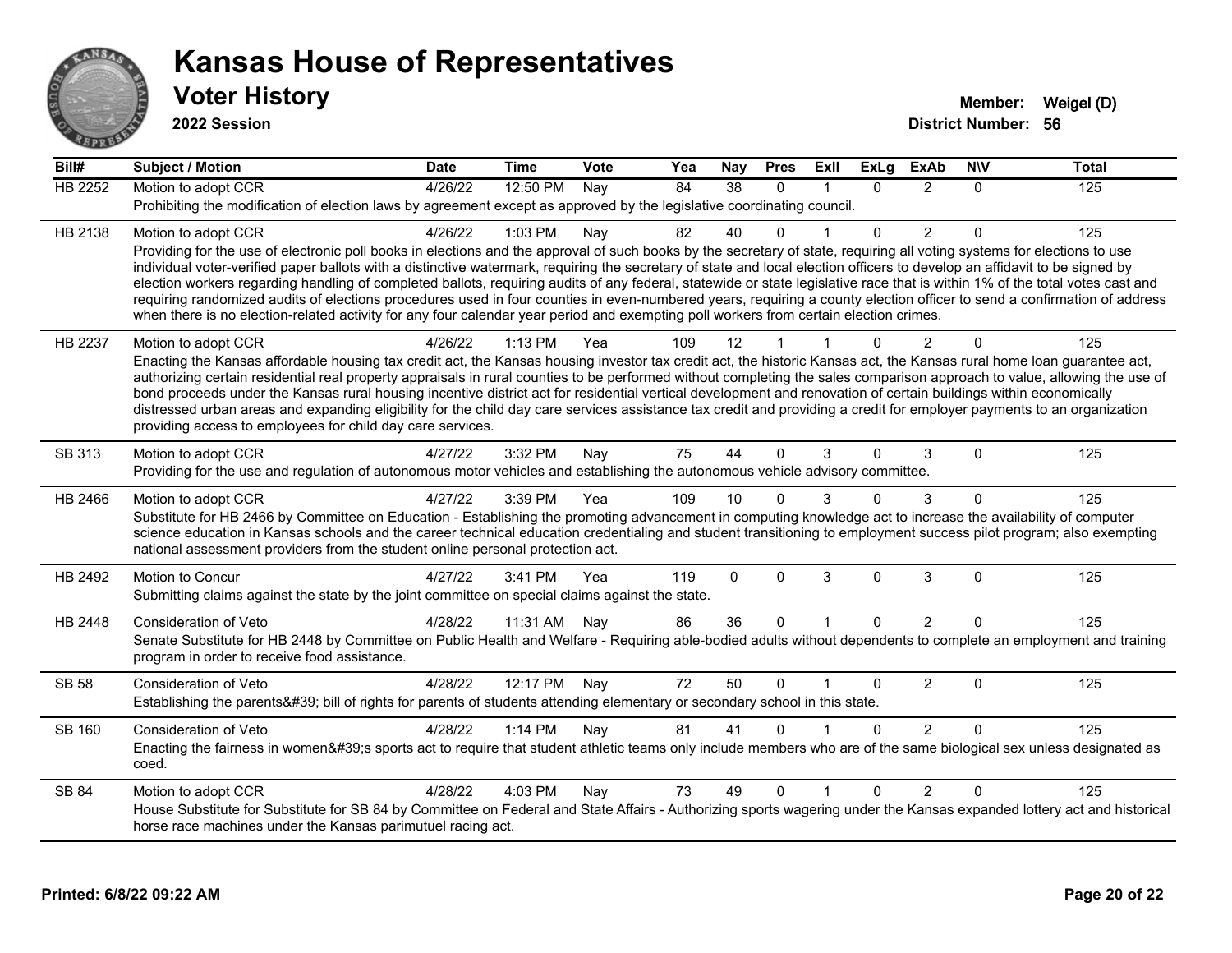

| Bill#          | <b>Subject / Motion</b>                                                                                                                                                                                                                                                                                                                               | <b>Date</b> | <b>Time</b> | Vote | Yea | <b>Nay</b>      | <b>Pres</b>  | Exll                    | <b>ExLg</b> | <b>ExAb</b>    | <b>NIV</b>   | <b>Total</b> |
|----------------|-------------------------------------------------------------------------------------------------------------------------------------------------------------------------------------------------------------------------------------------------------------------------------------------------------------------------------------------------------|-------------|-------------|------|-----|-----------------|--------------|-------------------------|-------------|----------------|--------------|--------------|
| <b>HB 2252</b> | Motion to adopt CCR                                                                                                                                                                                                                                                                                                                                   | 4/26/22     | 12:50 PM    | Nay  | 84  | $\overline{38}$ | $\mathbf{0}$ | $\mathbf{1}$            | $\Omega$    | $\overline{2}$ | $\mathbf{0}$ | 125          |
|                | Prohibiting the modification of election laws by agreement except as approved by the legislative coordinating council.                                                                                                                                                                                                                                |             |             |      |     |                 |              |                         |             |                |              |              |
| HB 2138        | Motion to adopt CCR                                                                                                                                                                                                                                                                                                                                   | 4/26/22     | 1:03 PM     | Nay  | 82  | 40              | $\Omega$     |                         | $\Omega$    | $\overline{2}$ | $\Omega$     | 125          |
|                | Providing for the use of electronic poll books in elections and the approval of such books by the secretary of state, requiring all voting systems for elections to use<br>individual voter-verified paper ballots with a distinctive watermark, requiring the secretary of state and local election officers to develop an affidavit to be signed by |             |             |      |     |                 |              |                         |             |                |              |              |
|                | election workers regarding handling of completed ballots, requiring audits of any federal, statewide or state legislative race that is within 1% of the total votes cast and                                                                                                                                                                          |             |             |      |     |                 |              |                         |             |                |              |              |
|                | requiring randomized audits of elections procedures used in four counties in even-numbered years, requiring a county election officer to send a confirmation of address<br>when there is no election-related activity for any four calendar year period and exempting poll workers from certain election crimes.                                      |             |             |      |     |                 |              |                         |             |                |              |              |
|                |                                                                                                                                                                                                                                                                                                                                                       |             |             |      |     |                 |              |                         |             |                |              |              |
| HB 2237        | Motion to adopt CCR<br>Enacting the Kansas affordable housing tax credit act, the Kansas housing investor tax credit act, the historic Kansas act, the Kansas rural home loan guarantee act,                                                                                                                                                          | 4/26/22     | $1:13$ PM   | Yea  | 109 | 12              |              |                         | 0           | $\mathcal{P}$  | $\Omega$     | 125          |
|                | authorizing certain residential real property appraisals in rural counties to be performed without completing the sales comparison approach to value, allowing the use of                                                                                                                                                                             |             |             |      |     |                 |              |                         |             |                |              |              |
|                | bond proceeds under the Kansas rural housing incentive district act for residential vertical development and renovation of certain buildings within economically                                                                                                                                                                                      |             |             |      |     |                 |              |                         |             |                |              |              |
|                | distressed urban areas and expanding eligibility for the child day care services assistance tax credit and providing a credit for employer payments to an organization<br>providing access to employees for child day care services.                                                                                                                  |             |             |      |     |                 |              |                         |             |                |              |              |
|                |                                                                                                                                                                                                                                                                                                                                                       | 4/27/22     | 3:32 PM     |      | 75  | 44              | $\mathbf{0}$ | 3                       | 0           | 3              | $\Omega$     | 125          |
| SB 313         | Motion to adopt CCR<br>Providing for the use and regulation of autonomous motor vehicles and establishing the autonomous vehicle advisory committee.                                                                                                                                                                                                  |             |             | Nay  |     |                 |              |                         |             |                |              |              |
| HB 2466        | Motion to adopt CCR                                                                                                                                                                                                                                                                                                                                   | 4/27/22     | 3:39 PM     | Yea  | 109 | 10              | $\Omega$     | 3                       | 0           | 3              | $\Omega$     | 125          |
|                | Substitute for HB 2466 by Committee on Education - Establishing the promoting advancement in computing knowledge act to increase the availability of computer                                                                                                                                                                                         |             |             |      |     |                 |              |                         |             |                |              |              |
|                | science education in Kansas schools and the career technical education credentialing and student transitioning to employment success pilot program; also exempting                                                                                                                                                                                    |             |             |      |     |                 |              |                         |             |                |              |              |
|                | national assessment providers from the student online personal protection act.                                                                                                                                                                                                                                                                        |             |             |      |     |                 |              |                         |             |                |              |              |
| HB 2492        | Motion to Concur                                                                                                                                                                                                                                                                                                                                      | 4/27/22     | 3:41 PM     | Yea  | 119 | $\mathbf 0$     | $\mathbf{0}$ | 3                       | 0           | 3              | $\mathbf 0$  | 125          |
|                | Submitting claims against the state by the joint committee on special claims against the state.                                                                                                                                                                                                                                                       |             |             |      |     |                 |              |                         |             |                |              |              |
| HB 2448        | <b>Consideration of Veto</b>                                                                                                                                                                                                                                                                                                                          | 4/28/22     | 11:31 AM    | Nay  | 86  | 36              | $\mathbf 0$  | $\overline{1}$          | $\Omega$    | $\overline{2}$ | $\Omega$     | 125          |
|                | Senate Substitute for HB 2448 by Committee on Public Health and Welfare - Requiring able-bodied adults without dependents to complete an employment and training<br>program in order to receive food assistance.                                                                                                                                      |             |             |      |     |                 |              |                         |             |                |              |              |
| <b>SB 58</b>   | Consideration of Veto                                                                                                                                                                                                                                                                                                                                 | 4/28/22     | 12:17 PM    | Nay  | 72  | 50              | $\Omega$     | $\overline{\mathbf{1}}$ | 0           | $\overline{2}$ | $\mathbf 0$  | 125          |
|                | Establishing the parents' bill of rights for parents of students attending elementary or secondary school in this state.                                                                                                                                                                                                                              |             |             |      |     |                 |              |                         |             |                |              |              |
| <b>SB 160</b>  | Consideration of Veto                                                                                                                                                                                                                                                                                                                                 | 4/28/22     | $1:14$ PM   | Nay  | 81  | 41              | $\Omega$     |                         | $\Omega$    | $\overline{2}$ | $\Omega$     | 125          |
|                | Enacting the fairness in women's sports act to require that student athletic teams only include members who are of the same biological sex unless designated as                                                                                                                                                                                       |             |             |      |     |                 |              |                         |             |                |              |              |
|                | coed.                                                                                                                                                                                                                                                                                                                                                 |             |             |      |     |                 |              |                         |             |                |              |              |
| SB 84          | Motion to adopt CCR                                                                                                                                                                                                                                                                                                                                   | 4/28/22     | 4:03 PM     | Nay  | 73  | 49              | $\Omega$     |                         | $\Omega$    | 2              | $\Omega$     | 125          |
|                | House Substitute for Substitute for SB 84 by Committee on Federal and State Affairs - Authorizing sports wagering under the Kansas expanded lottery act and historical                                                                                                                                                                                |             |             |      |     |                 |              |                         |             |                |              |              |
|                | horse race machines under the Kansas parimutuel racing act.                                                                                                                                                                                                                                                                                           |             |             |      |     |                 |              |                         |             |                |              |              |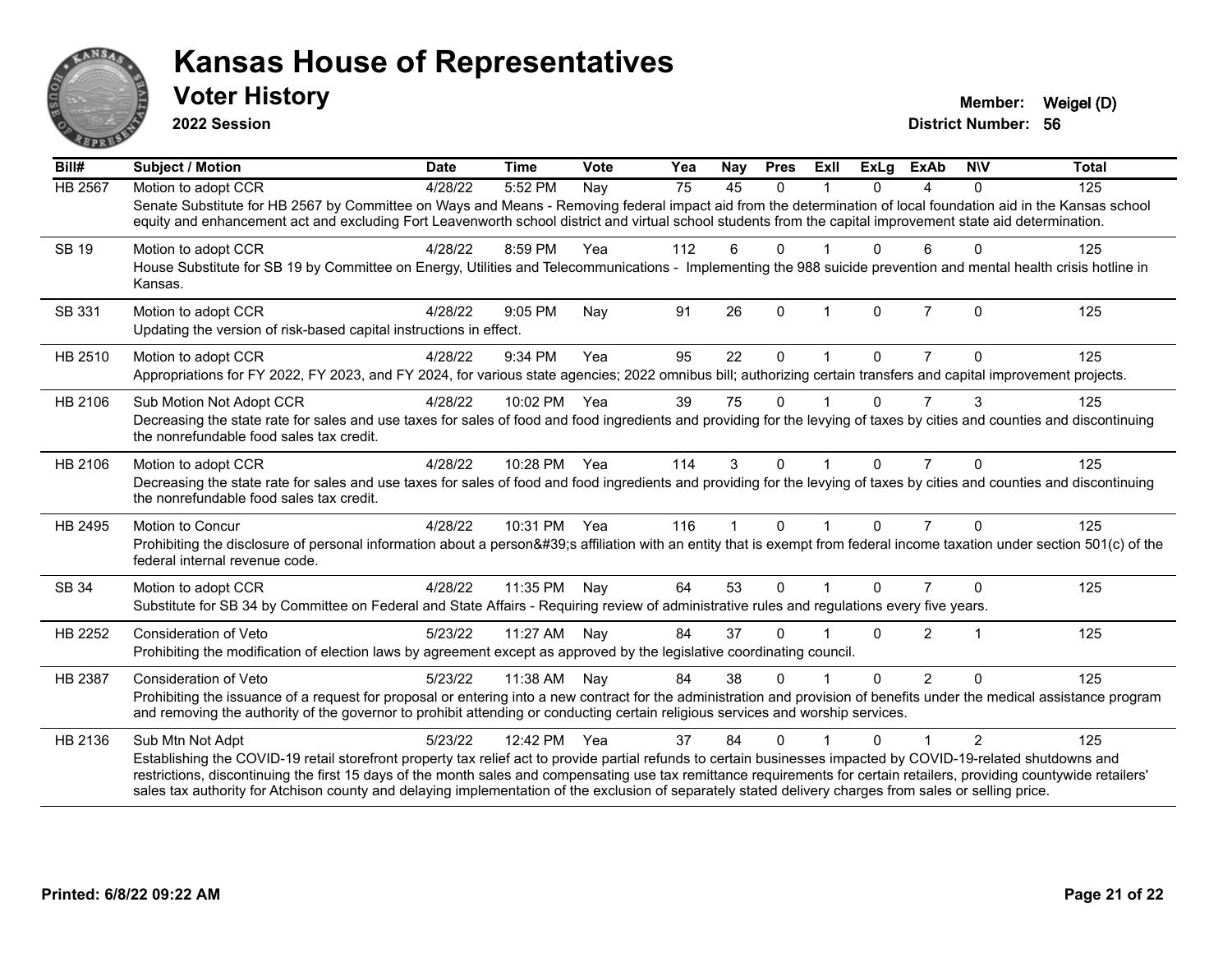

**2022 Session**

| Bill#          | <b>Subject / Motion</b>                                                                                                                                                                                                                                                                                                                                                                                                                                                                                                    | <b>Date</b> | <b>Time</b> | Vote | Yea | Nay         | <b>Pres</b>  | ExIl         | <b>ExLg</b> | <b>ExAb</b>    | <b>NIV</b>     | <b>Total</b> |
|----------------|----------------------------------------------------------------------------------------------------------------------------------------------------------------------------------------------------------------------------------------------------------------------------------------------------------------------------------------------------------------------------------------------------------------------------------------------------------------------------------------------------------------------------|-------------|-------------|------|-----|-------------|--------------|--------------|-------------|----------------|----------------|--------------|
| <b>HB 2567</b> | Motion to adopt CCR<br>Senate Substitute for HB 2567 by Committee on Ways and Means - Removing federal impact aid from the determination of local foundation aid in the Kansas school<br>equity and enhancement act and excluding Fort Leavenworth school district and virtual school students from the capital improvement state aid determination.                                                                                                                                                                       | 4/28/22     | 5:52 PM     | Nay  | 75  | 45          | $\Omega$     |              | $\Omega$    | 4              | $\Omega$       | 125          |
| SB 19          | Motion to adopt CCR<br>House Substitute for SB 19 by Committee on Energy, Utilities and Telecommunications - Implementing the 988 suicide prevention and mental health crisis hotline in<br>Kansas.                                                                                                                                                                                                                                                                                                                        | 4/28/22     | 8:59 PM     | Yea  | 112 | 6           | $\Omega$     |              | $\Omega$    | 6              | $\Omega$       | 125          |
| SB 331         | Motion to adopt CCR<br>Updating the version of risk-based capital instructions in effect.                                                                                                                                                                                                                                                                                                                                                                                                                                  | 4/28/22     | 9:05 PM     | Nay  | 91  | 26          | $\mathbf{0}$ | $\mathbf{1}$ | $\Omega$    | $\overline{7}$ | $\Omega$       | 125          |
| HB 2510        | Motion to adopt CCR<br>Appropriations for FY 2022, FY 2023, and FY 2024, for various state agencies; 2022 omnibus bill; authorizing certain transfers and capital improvement projects.                                                                                                                                                                                                                                                                                                                                    | 4/28/22     | 9:34 PM     | Yea  | 95  | 22          | $\Omega$     |              | 0           |                | $\Omega$       | 125          |
| HB 2106        | Sub Motion Not Adopt CCR<br>Decreasing the state rate for sales and use taxes for sales of food and food ingredients and providing for the levying of taxes by cities and counties and discontinuing<br>the nonrefundable food sales tax credit.                                                                                                                                                                                                                                                                           | 4/28/22     | 10:02 PM    | Yea  | 39  | 75          | $\mathbf{0}$ |              | $\Omega$    | 7              | 3              | 125          |
| HB 2106        | Motion to adopt CCR<br>Decreasing the state rate for sales and use taxes for sales of food and food ingredients and providing for the levying of taxes by cities and counties and discontinuing<br>the nonrefundable food sales tax credit.                                                                                                                                                                                                                                                                                | 4/28/22     | 10:28 PM    | Yea  | 114 | 3           | $\Omega$     |              | $\Omega$    | $\overline{7}$ | $\Omega$       | 125          |
| HB 2495        | Motion to Concur<br>Prohibiting the disclosure of personal information about a person's affiliation with an entity that is exempt from federal income taxation under section 501(c) of the<br>federal internal revenue code.                                                                                                                                                                                                                                                                                               | 4/28/22     | 10:31 PM    | Yea  | 116 | $\mathbf 1$ | $\mathbf 0$  | $\mathbf{1}$ | $\Omega$    | $\overline{7}$ | $\Omega$       | 125          |
| SB 34          | Motion to adopt CCR<br>Substitute for SB 34 by Committee on Federal and State Affairs - Requiring review of administrative rules and regulations every five years.                                                                                                                                                                                                                                                                                                                                                         | 4/28/22     | 11:35 PM    | Nay  | 64  | 53          | $\Omega$     |              | $\Omega$    | 7              | $\Omega$       | 125          |
| HB 2252        | <b>Consideration of Veto</b><br>Prohibiting the modification of election laws by agreement except as approved by the legislative coordinating council.                                                                                                                                                                                                                                                                                                                                                                     | 5/23/22     | 11:27 AM    | Nay  | 84  | 37          | $\Omega$     |              | $\Omega$    | $\overline{2}$ | 1              | 125          |
| <b>HB 2387</b> | Consideration of Veto<br>Prohibiting the issuance of a request for proposal or entering into a new contract for the administration and provision of benefits under the medical assistance program<br>and removing the authority of the governor to prohibit attending or conducting certain religious services and worship services.                                                                                                                                                                                       | 5/23/22     | 11:38 AM    | Nay  | 84  | 38          | $\Omega$     |              | $\Omega$    | $\mathcal{P}$  | $\Omega$       | 125          |
| HB 2136        | Sub Mtn Not Adpt<br>Establishing the COVID-19 retail storefront property tax relief act to provide partial refunds to certain businesses impacted by COVID-19-related shutdowns and<br>restrictions, discontinuing the first 15 days of the month sales and compensating use tax remittance requirements for certain retailers, providing countywide retailers'<br>sales tax authority for Atchison county and delaying implementation of the exclusion of separately stated delivery charges from sales or selling price. | 5/23/22     | 12:42 PM    | Yea  | 37  | 84          | $\Omega$     |              | 0           |                | $\mathfrak{p}$ | 125          |